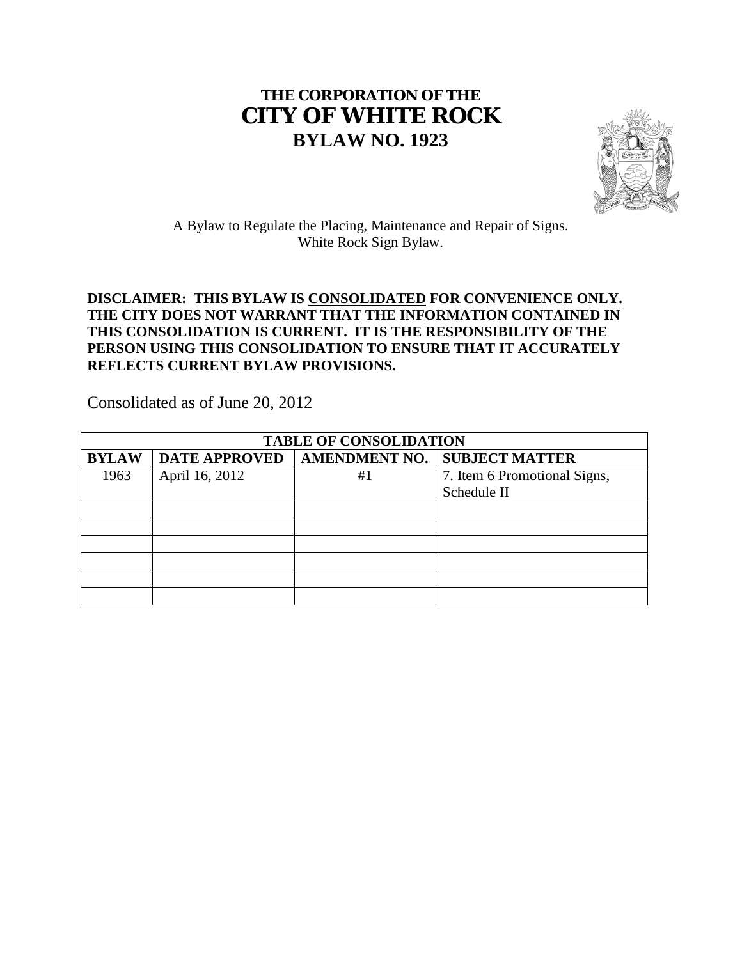# **THE CORPORATION OF THE CITY OF WHITE ROCK BYLAW NO. 1923**



A Bylaw to Regulate the Placing, Maintenance and Repair of Signs. White Rock Sign Bylaw.

## **DISCLAIMER: THIS BYLAW IS CONSOLIDATED FOR CONVENIENCE ONLY. THE CITY DOES NOT WARRANT THAT THE INFORMATION CONTAINED IN THIS CONSOLIDATION IS CURRENT. IT IS THE RESPONSIBILITY OF THE PERSON USING THIS CONSOLIDATION TO ENSURE THAT IT ACCURATELY REFLECTS CURRENT BYLAW PROVISIONS.**

Consolidated as of June 20, 2012

| <b>TABLE OF CONSOLIDATION</b> |                      |                      |                              |
|-------------------------------|----------------------|----------------------|------------------------------|
| <b>BYLAW</b>                  | <b>DATE APPROVED</b> | <b>AMENDMENT NO.</b> | <b>SUBJECT MATTER</b>        |
| 1963                          | April 16, 2012       | #1                   | 7. Item 6 Promotional Signs, |
|                               |                      |                      | Schedule II                  |
|                               |                      |                      |                              |
|                               |                      |                      |                              |
|                               |                      |                      |                              |
|                               |                      |                      |                              |
|                               |                      |                      |                              |
|                               |                      |                      |                              |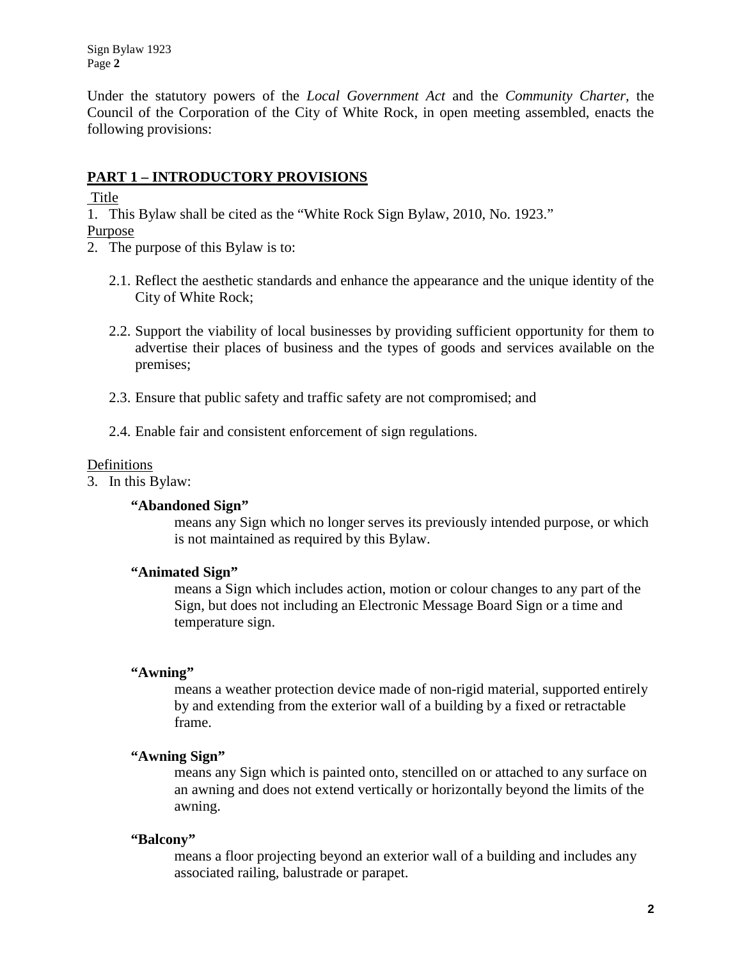Sign Bylaw 1923 Page **2**

Under the statutory powers of the *Local Government Act* and the *Community Charter,* the Council of the Corporation of the City of White Rock, in open meeting assembled, enacts the following provisions:

## <span id="page-1-0"></span>**PART 1 – INTRODUCTORY PROVISIONS**

<span id="page-1-1"></span>**Title** 

1. This Bylaw shall be cited as the "White Rock Sign Bylaw, 2010, No. 1923."

- <span id="page-1-2"></span>Purpose
- 2. The purpose of this Bylaw is to:
	- 2.1. Reflect the aesthetic standards and enhance the appearance and the unique identity of the City of White Rock;
	- 2.2. Support the viability of local businesses by providing sufficient opportunity for them to advertise their places of business and the types of goods and services available on the premises;
	- 2.3. Ensure that public safety and traffic safety are not compromised; and
	- 2.4. Enable fair and consistent enforcement of sign regulations.

### <span id="page-1-3"></span>**Definitions**

3. In this Bylaw:

### **"Abandoned Sign"**

means any Sign which no longer serves its previously intended purpose, or which is not maintained as required by this Bylaw.

## **"Animated Sign"**

means a Sign which includes action, motion or colour changes to any part of the Sign, but does not including an Electronic Message Board Sign or a time and temperature sign.

## **"Awning"**

means a weather protection device made of non-rigid material, supported entirely by and extending from the exterior wall of a building by a fixed or retractable frame.

### **"Awning Sign"**

means any Sign which is painted onto, stencilled on or attached to any surface on an awning and does not extend vertically or horizontally beyond the limits of the awning.

### **"Balcony"**

means a floor projecting beyond an exterior wall of a building and includes any associated railing, balustrade or parapet.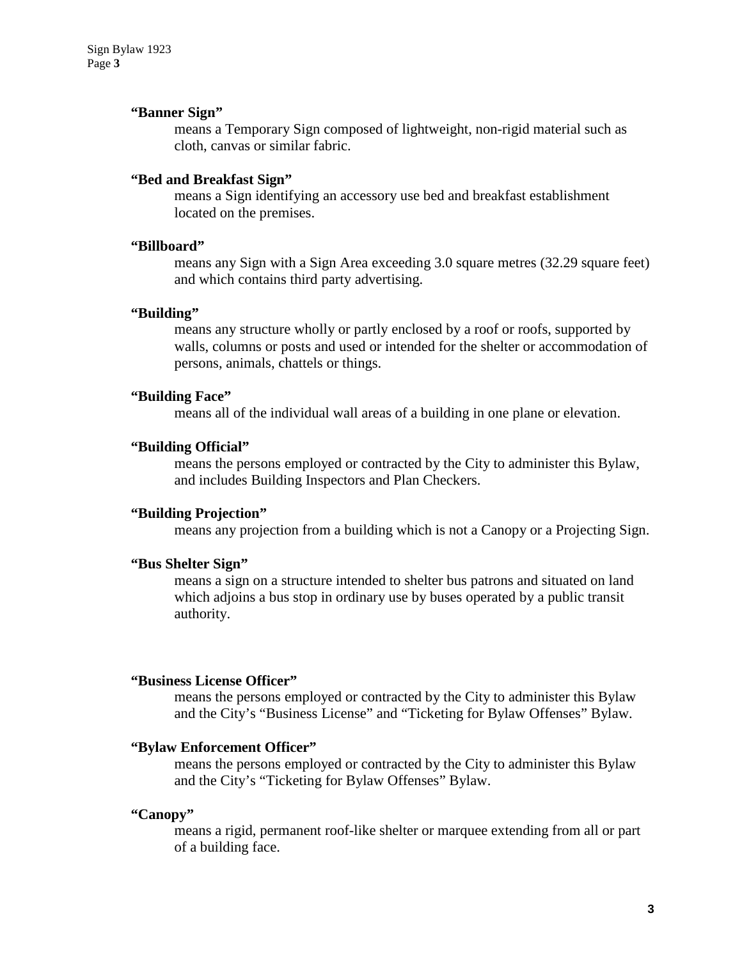#### **"Banner Sign"**

means a Temporary Sign composed of lightweight, non-rigid material such as cloth, canvas or similar fabric.

### **"Bed and Breakfast Sign"**

means a Sign identifying an accessory use bed and breakfast establishment located on the premises.

#### **"Billboard"**

means any Sign with a Sign Area exceeding 3.0 square metres (32.29 square feet) and which contains third party advertising.

#### **"Building"**

means any structure wholly or partly enclosed by a roof or roofs, supported by walls, columns or posts and used or intended for the shelter or accommodation of persons, animals, chattels or things.

#### **"Building Face"**

means all of the individual wall areas of a building in one plane or elevation.

### **"Building Official"**

means the persons employed or contracted by the City to administer this Bylaw, and includes Building Inspectors and Plan Checkers.

#### **"Building Projection"**

means any projection from a building which is not a Canopy or a Projecting Sign.

#### **"Bus Shelter Sign"**

means a sign on a structure intended to shelter bus patrons and situated on land which adjoins a bus stop in ordinary use by buses operated by a public transit authority.

#### **"Business License Officer"**

means the persons employed or contracted by the City to administer this Bylaw and the City's "Business License" and "Ticketing for Bylaw Offenses" Bylaw.

#### **"Bylaw Enforcement Officer"**

means the persons employed or contracted by the City to administer this Bylaw and the City's "Ticketing for Bylaw Offenses" Bylaw.

#### **"Canopy"**

means a rigid, permanent roof-like shelter or marquee extending from all or part of a building face.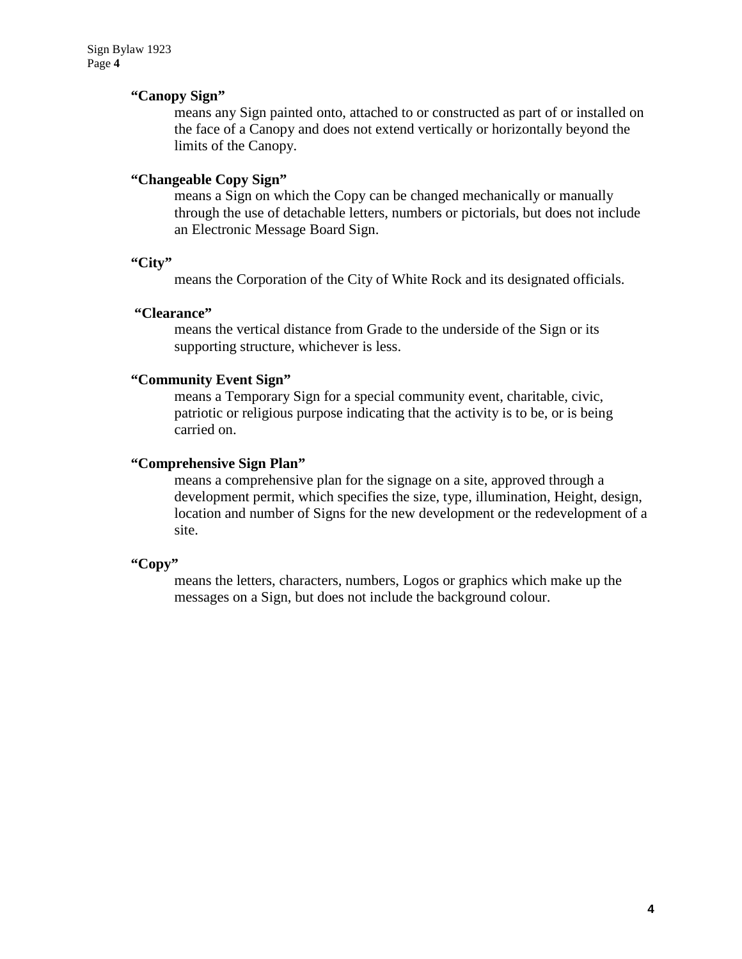### **"Canopy Sign"**

means any Sign painted onto, attached to or constructed as part of or installed on the face of a Canopy and does not extend vertically or horizontally beyond the limits of the Canopy.

### **"Changeable Copy Sign"**

means a Sign on which the Copy can be changed mechanically or manually through the use of detachable letters, numbers or pictorials, but does not include an Electronic Message Board Sign.

### **"City"**

means the Corporation of the City of White Rock and its designated officials.

### **"Clearance"**

means the vertical distance from Grade to the underside of the Sign or its supporting structure, whichever is less.

### **"Community Event Sign"**

means a Temporary Sign for a special community event, charitable, civic, patriotic or religious purpose indicating that the activity is to be, or is being carried on.

### **"Comprehensive Sign Plan"**

means a comprehensive plan for the signage on a site, approved through a development permit, which specifies the size, type, illumination, Height, design, location and number of Signs for the new development or the redevelopment of a site.

### **"Copy"**

means the letters, characters, numbers, Logos or graphics which make up the messages on a Sign, but does not include the background colour.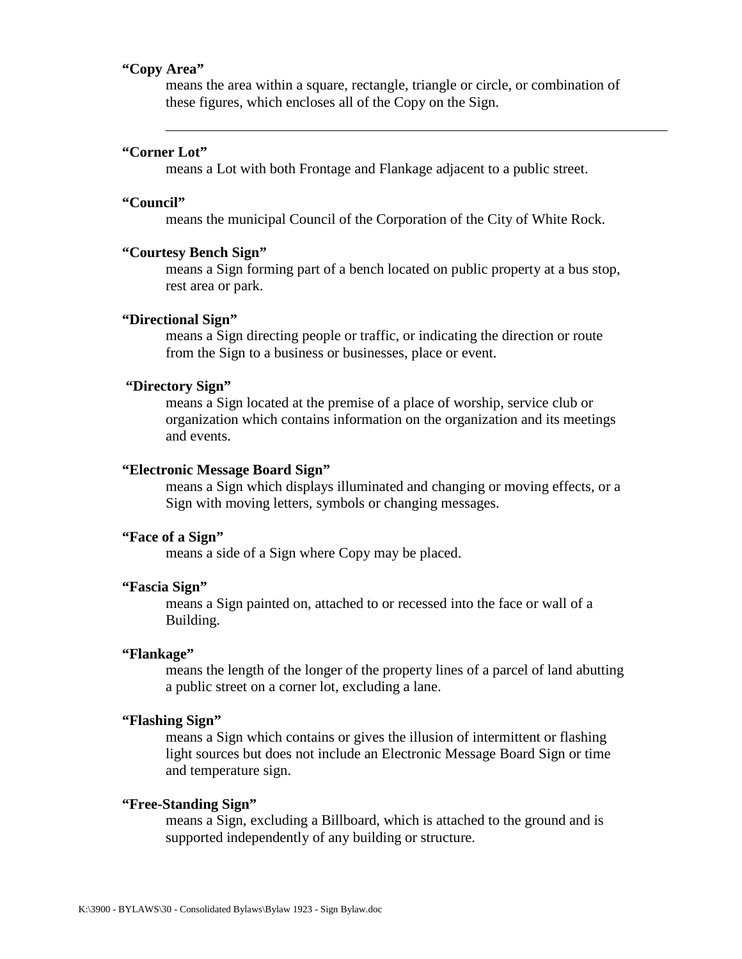### **"Copy Area"**

means the area within a square, rectangle, triangle or circle, or combination of these figures, which encloses all of the Copy on the Sign.

#### **"Corner Lot"**

means a Lot with both Frontage and Flankage adjacent to a public street.

#### **"Council"**

means the municipal Council of the Corporation of the City of White Rock.

#### **"Courtesy Bench Sign"**

means a Sign forming part of a bench located on public property at a bus stop, rest area or park.

#### **"Directional Sign"**

means a Sign directing people or traffic, or indicating the direction or route from the Sign to a business or businesses, place or event.

#### **"Directory Sign"**

means a Sign located at the premise of a place of worship, service club or organization which contains information on the organization and its meetings and events.

#### **"Electronic Message Board Sign"**

means a Sign which displays illuminated and changing or moving effects, or a Sign with moving letters, symbols or changing messages.

#### **"Face of a Sign"**

means a side of a Sign where Copy may be placed.

#### **"Fascia Sign"**

means a Sign painted on, attached to or recessed into the face or wall of a Building.

#### **"Flankage"**

means the length of the longer of the property lines of a parcel of land abutting a public street on a corner lot, excluding a lane.

#### **"Flashing Sign"**

means a Sign which contains or gives the illusion of intermittent or flashing light sources but does not include an Electronic Message Board Sign or time and temperature sign.

#### **"Free-Standing Sign"**

means a Sign, excluding a Billboard, which is attached to the ground and is supported independently of any building or structure.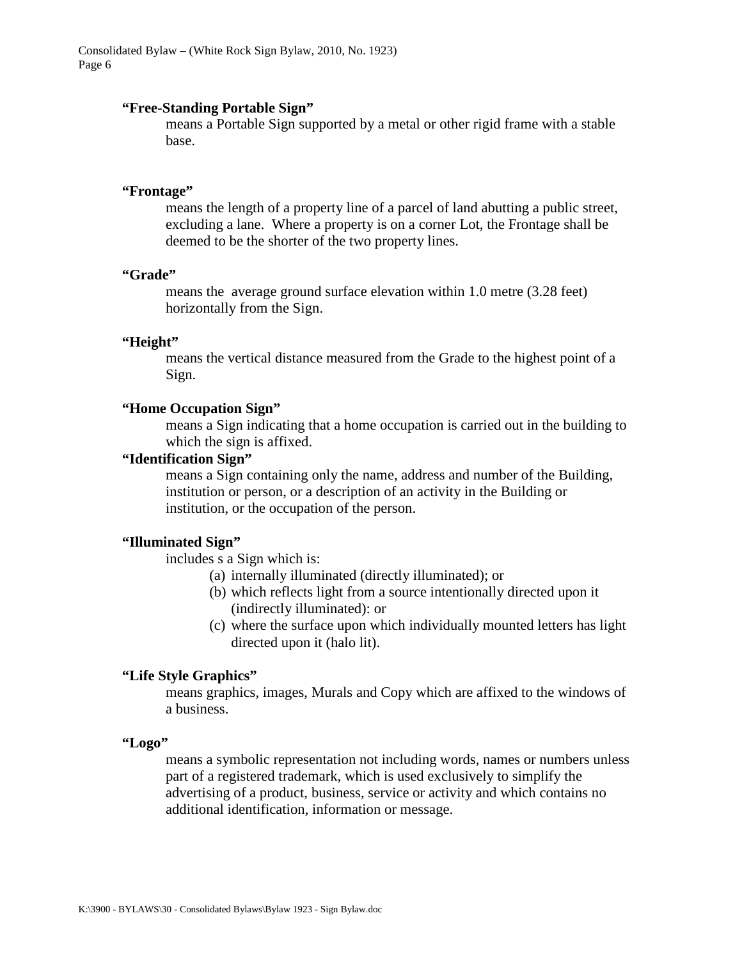#### **"Free-Standing Portable Sign"**

means a Portable Sign supported by a metal or other rigid frame with a stable base.

#### **"Frontage"**

means the length of a property line of a parcel of land abutting a public street, excluding a lane. Where a property is on a corner Lot, the Frontage shall be deemed to be the shorter of the two property lines.

#### **"Grade"**

means the average ground surface elevation within 1.0 metre (3.28 feet) horizontally from the Sign.

#### **"Height"**

means the vertical distance measured from the Grade to the highest point of a Sign.

#### **"Home Occupation Sign"**

means a Sign indicating that a home occupation is carried out in the building to which the sign is affixed.

#### **"Identification Sign"**

means a Sign containing only the name, address and number of the Building, institution or person, or a description of an activity in the Building or institution, or the occupation of the person.

#### **"Illuminated Sign"**

includes s a Sign which is:

- (a) internally illuminated (directly illuminated); or
- (b) which reflects light from a source intentionally directed upon it (indirectly illuminated): or
- (c) where the surface upon which individually mounted letters has light directed upon it (halo lit).

#### **"Life Style Graphics"**

means graphics, images, Murals and Copy which are affixed to the windows of a business.

#### **"Logo"**

means a symbolic representation not including words, names or numbers unless part of a registered trademark, which is used exclusively to simplify the advertising of a product, business, service or activity and which contains no additional identification, information or message.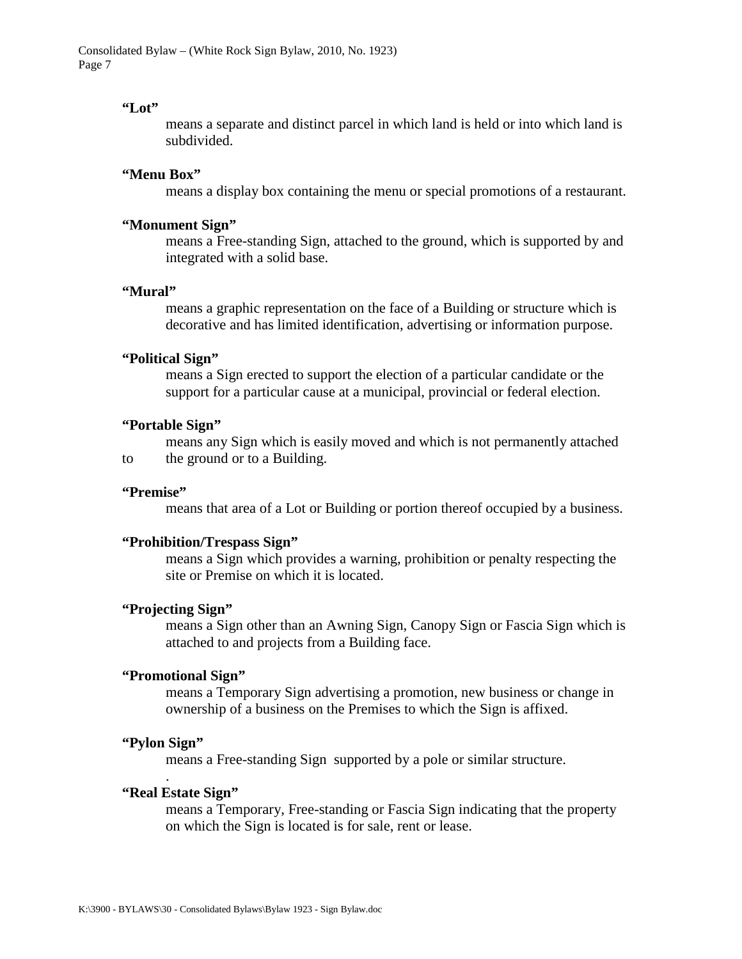#### **"Lot"**

means a separate and distinct parcel in which land is held or into which land is subdivided.

### **"Menu Box"**

means a display box containing the menu or special promotions of a restaurant.

#### **"Monument Sign"**

means a Free-standing Sign, attached to the ground, which is supported by and integrated with a solid base.

#### **"Mural"**

means a graphic representation on the face of a Building or structure which is decorative and has limited identification, advertising or information purpose.

#### **"Political Sign"**

means a Sign erected to support the election of a particular candidate or the support for a particular cause at a municipal, provincial or federal election.

#### **"Portable Sign"**

means any Sign which is easily moved and which is not permanently attached to the ground or to a Building.

#### **"Premise"**

means that area of a Lot or Building or portion thereof occupied by a business.

#### **"Prohibition/Trespass Sign"**

means a Sign which provides a warning, prohibition or penalty respecting the site or Premise on which it is located.

#### **"Projecting Sign"**

means a Sign other than an Awning Sign, Canopy Sign or Fascia Sign which is attached to and projects from a Building face.

### **"Promotional Sign"**

means a Temporary Sign advertising a promotion, new business or change in ownership of a business on the Premises to which the Sign is affixed.

#### **"Pylon Sign"**

.

means a Free-standing Sign supported by a pole or similar structure.

#### **"Real Estate Sign"**

means a Temporary, Free-standing or Fascia Sign indicating that the property on which the Sign is located is for sale, rent or lease.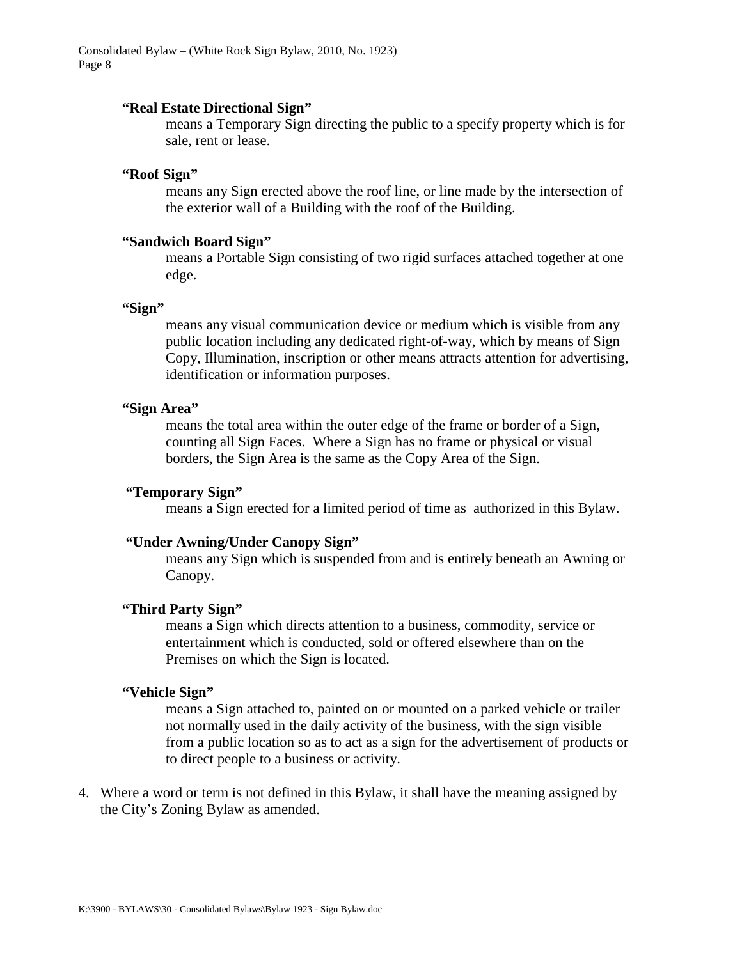#### **"Real Estate Directional Sign"**

means a Temporary Sign directing the public to a specify property which is for sale, rent or lease.

### **"Roof Sign"**

means any Sign erected above the roof line, or line made by the intersection of the exterior wall of a Building with the roof of the Building.

#### **"Sandwich Board Sign"**

means a Portable Sign consisting of two rigid surfaces attached together at one edge.

#### **"Sign"**

means any visual communication device or medium which is visible from any public location including any dedicated right-of-way, which by means of Sign Copy, Illumination, inscription or other means attracts attention for advertising, identification or information purposes.

#### **"Sign Area"**

means the total area within the outer edge of the frame or border of a Sign, counting all Sign Faces. Where a Sign has no frame or physical or visual borders, the Sign Area is the same as the Copy Area of the Sign.

#### **"Temporary Sign"**

means a Sign erected for a limited period of time as authorized in this Bylaw.

#### **"Under Awning/Under Canopy Sign"**

means any Sign which is suspended from and is entirely beneath an Awning or Canopy.

#### **"Third Party Sign"**

means a Sign which directs attention to a business, commodity, service or entertainment which is conducted, sold or offered elsewhere than on the Premises on which the Sign is located.

### **"Vehicle Sign"**

means a Sign attached to, painted on or mounted on a parked vehicle or trailer not normally used in the daily activity of the business, with the sign visible from a public location so as to act as a sign for the advertisement of products or to direct people to a business or activity.

4. Where a word or term is not defined in this Bylaw, it shall have the meaning assigned by the City's Zoning Bylaw as amended.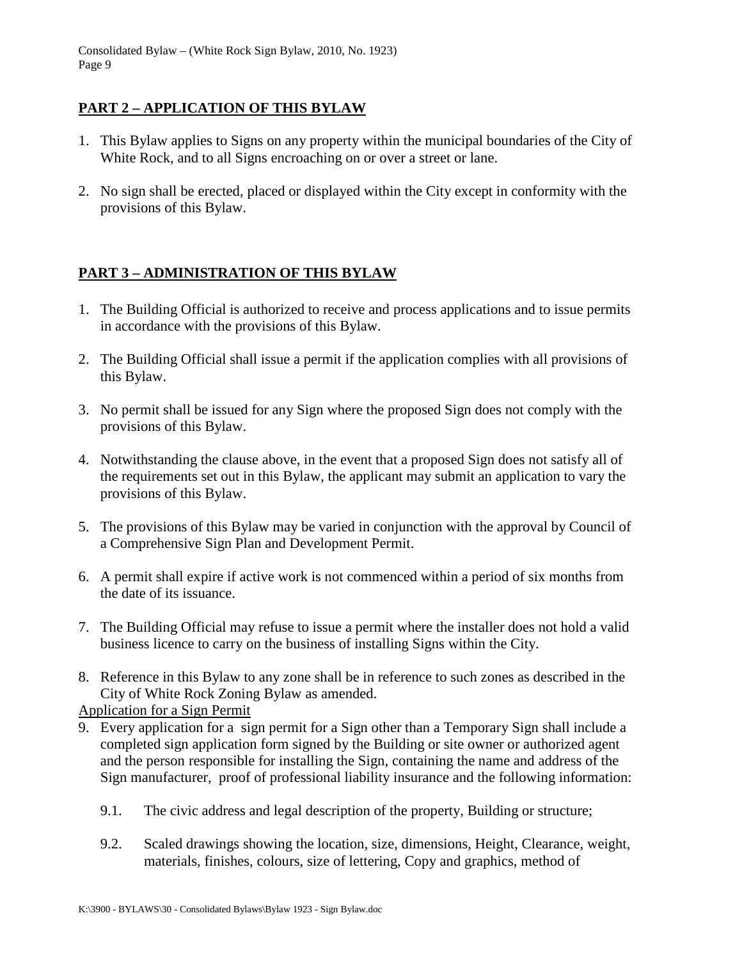## <span id="page-8-0"></span>**PART 2 – APPLICATION OF THIS BYLAW**

- 1. This Bylaw applies to Signs on any property within the municipal boundaries of the City of White Rock, and to all Signs encroaching on or over a street or lane.
- 2. No sign shall be erected, placed or displayed within the City except in conformity with the provisions of this Bylaw.

# <span id="page-8-1"></span>**PART 3 – ADMINISTRATION OF THIS BYLAW**

- 1. The Building Official is authorized to receive and process applications and to issue permits in accordance with the provisions of this Bylaw.
- 2. The Building Official shall issue a permit if the application complies with all provisions of this Bylaw.
- 3. No permit shall be issued for any Sign where the proposed Sign does not comply with the provisions of this Bylaw.
- 4. Notwithstanding the clause above, in the event that a proposed Sign does not satisfy all of the requirements set out in this Bylaw, the applicant may submit an application to vary the provisions of this Bylaw.
- 5. The provisions of this Bylaw may be varied in conjunction with the approval by Council of a Comprehensive Sign Plan and Development Permit.
- 6. A permit shall expire if active work is not commenced within a period of six months from the date of its issuance.
- 7. The Building Official may refuse to issue a permit where the installer does not hold a valid business licence to carry on the business of installing Signs within the City.
- 8. Reference in this Bylaw to any zone shall be in reference to such zones as described in the City of White Rock Zoning Bylaw as amended.

## <span id="page-8-2"></span>Application for a Sign Permit

- 9. Every application for a sign permit for a Sign other than a Temporary Sign shall include a completed sign application form signed by the Building or site owner or authorized agent and the person responsible for installing the Sign, containing the name and address of the Sign manufacturer, proof of professional liability insurance and the following information:
	- 9.1. The civic address and legal description of the property, Building or structure;
	- 9.2. Scaled drawings showing the location, size, dimensions, Height, Clearance, weight, materials, finishes, colours, size of lettering, Copy and graphics, method of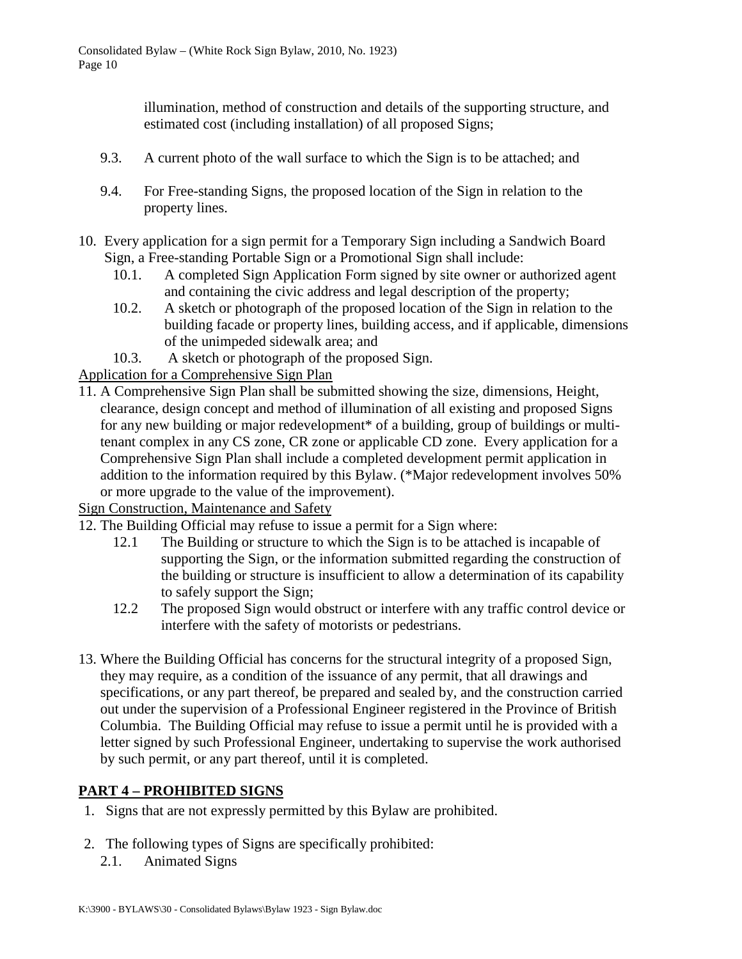illumination, method of construction and details of the supporting structure, and estimated cost (including installation) of all proposed Signs;

- 9.3. A current photo of the wall surface to which the Sign is to be attached; and
- 9.4. For Free-standing Signs, the proposed location of the Sign in relation to the property lines.
- 10. Every application for a sign permit for a Temporary Sign including a Sandwich Board Sign, a Free-standing Portable Sign or a Promotional Sign shall include:
	- 10.1. A completed Sign Application Form signed by site owner or authorized agent and containing the civic address and legal description of the property;
	- 10.2. A sketch or photograph of the proposed location of the Sign in relation to the building facade or property lines, building access, and if applicable, dimensions of the unimpeded sidewalk area; and
	- 10.3. A sketch or photograph of the proposed Sign.

## <span id="page-9-0"></span>Application for a Comprehensive Sign Plan

11. A Comprehensive Sign Plan shall be submitted showing the size, dimensions, Height, clearance, design concept and method of illumination of all existing and proposed Signs for any new building or major redevelopment\* of a building, group of buildings or multitenant complex in any CS zone, CR zone or applicable CD zone. Every application for a Comprehensive Sign Plan shall include a completed development permit application in addition to the information required by this Bylaw. (\*Major redevelopment involves 50% or more upgrade to the value of the improvement).

<span id="page-9-1"></span>Sign Construction, Maintenance and Safety

- 12. The Building Official may refuse to issue a permit for a Sign where:
	- 12.1 The Building or structure to which the Sign is to be attached is incapable of supporting the Sign, or the information submitted regarding the construction of the building or structure is insufficient to allow a determination of its capability to safely support the Sign;
	- 12.2 The proposed Sign would obstruct or interfere with any traffic control device or interfere with the safety of motorists or pedestrians.
- 13. Where the Building Official has concerns for the structural integrity of a proposed Sign, they may require, as a condition of the issuance of any permit, that all drawings and specifications, or any part thereof, be prepared and sealed by, and the construction carried out under the supervision of a Professional Engineer registered in the Province of British Columbia. The Building Official may refuse to issue a permit until he is provided with a letter signed by such Professional Engineer, undertaking to supervise the work authorised by such permit, or any part thereof, until it is completed.

## <span id="page-9-2"></span>**PART 4 – PROHIBITED SIGNS**

- 1. Signs that are not expressly permitted by this Bylaw are prohibited.
- 2. The following types of Signs are specifically prohibited:
	- 2.1. Animated Signs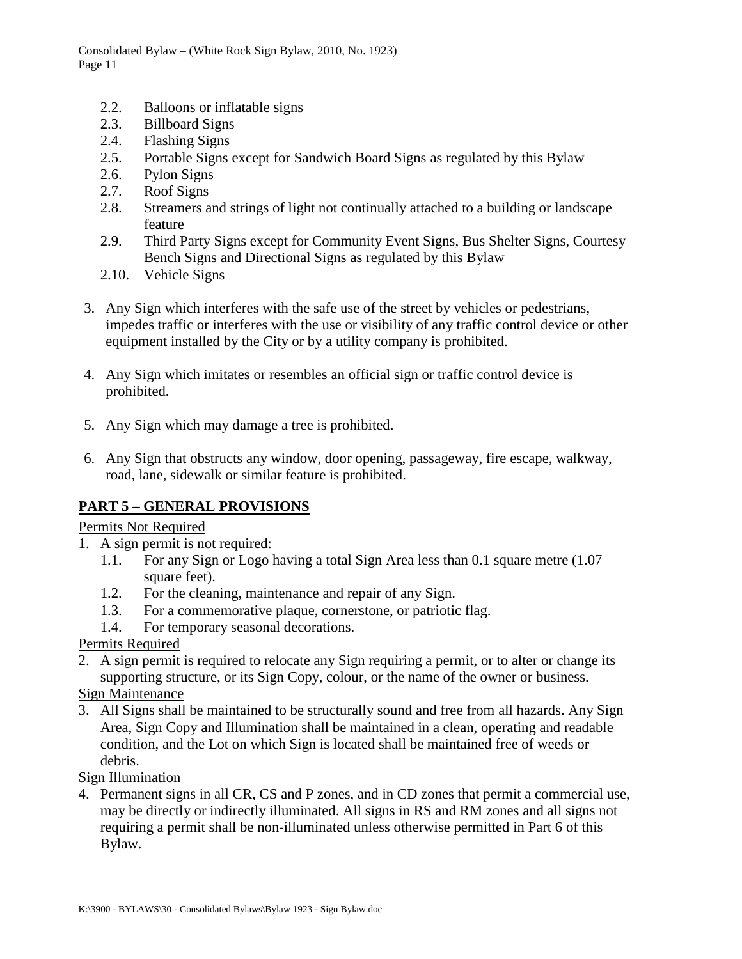- 2.2. Balloons or inflatable signs
- 2.3. Billboard Signs
- 2.4. Flashing Signs
- 2.5. Portable Signs except for Sandwich Board Signs as regulated by this Bylaw
- 2.6. Pylon Signs
- 2.7. Roof Signs
- 2.8. Streamers and strings of light not continually attached to a building or landscape feature
- 2.9. Third Party Signs except for Community Event Signs, Bus Shelter Signs, Courtesy Bench Signs and Directional Signs as regulated by this Bylaw
- 2.10. Vehicle Signs
- 3. Any Sign which interferes with the safe use of the street by vehicles or pedestrians, impedes traffic or interferes with the use or visibility of any traffic control device or other equipment installed by the City or by a utility company is prohibited.
- 4. Any Sign which imitates or resembles an official sign or traffic control device is prohibited.
- 5. Any Sign which may damage a tree is prohibited.
- 6. Any Sign that obstructs any window, door opening, passageway, fire escape, walkway, road, lane, sidewalk or similar feature is prohibited.

## <span id="page-10-0"></span>**PART 5 – GENERAL PROVISIONS**

### <span id="page-10-1"></span>Permits Not Required

- 1. A sign permit is not required:
	- 1.1. For any Sign or Logo having a total Sign Area less than 0.1 square metre (1.07 square feet).
	- 1.2. For the cleaning, maintenance and repair of any Sign.
	- 1.3. For a commemorative plaque, cornerstone, or patriotic flag.
	- 1.4. For temporary seasonal decorations.
- <span id="page-10-2"></span>Permits Required
- 2. A sign permit is required to relocate any Sign requiring a permit, or to alter or change its supporting structure, or its Sign Copy, colour, or the name of the owner or business.
- <span id="page-10-3"></span>Sign Maintenance
- 3. All Signs shall be maintained to be structurally sound and free from all hazards. Any Sign Area, Sign Copy and Illumination shall be maintained in a clean, operating and readable condition, and the Lot on which Sign is located shall be maintained free of weeds or debris.
- <span id="page-10-4"></span>Sign Illumination
- 4. Permanent signs in all CR, CS and P zones, and in CD zones that permit a commercial use, may be directly or indirectly illuminated. All signs in RS and RM zones and all signs not requiring a permit shall be non-illuminated unless otherwise permitted in Part 6 of this Bylaw.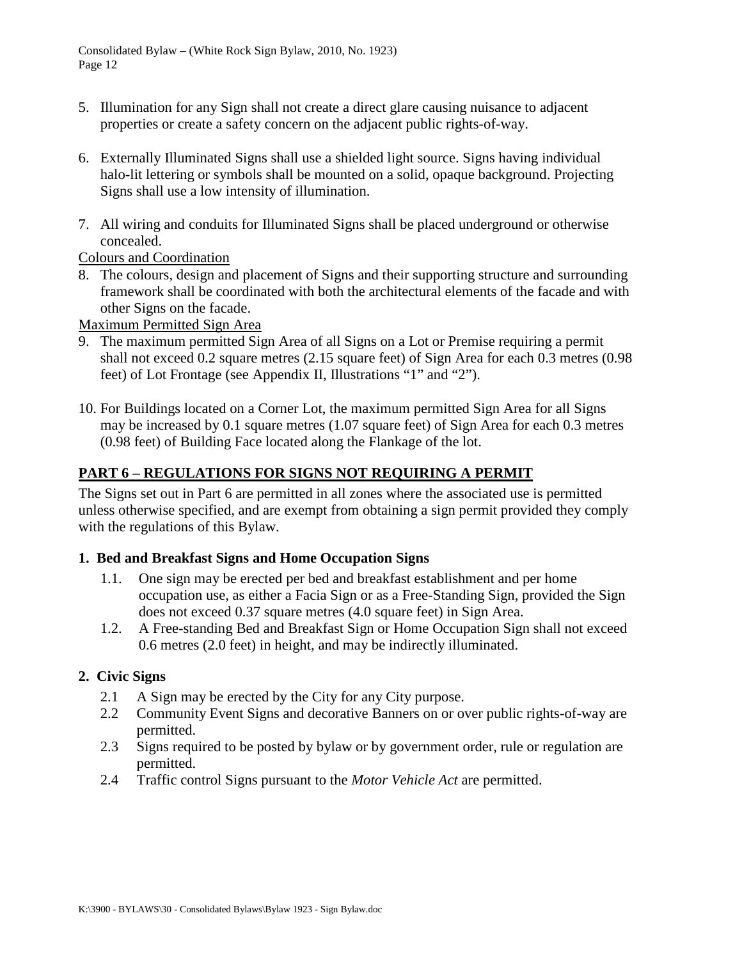- 5. Illumination for any Sign shall not create a direct glare causing nuisance to adjacent properties or create a safety concern on the adjacent public rights-of-way.
- 6. Externally Illuminated Signs shall use a shielded light source. Signs having individual halo-lit lettering or symbols shall be mounted on a solid, opaque background. Projecting Signs shall use a low intensity of illumination.
- 7. All wiring and conduits for Illuminated Signs shall be placed underground or otherwise concealed.

<span id="page-11-0"></span>Colours and Coordination

8. The colours, design and placement of Signs and their supporting structure and surrounding framework shall be coordinated with both the architectural elements of the facade and with other Signs on the facade.

<span id="page-11-1"></span>Maximum Permitted Sign Area

- 9. The maximum permitted Sign Area of all Signs on a Lot or Premise requiring a permit shall not exceed 0.2 square metres (2.15 square feet) of Sign Area for each 0.3 metres (0.98 feet) of Lot Frontage (see Appendix II, Illustrations "1" and "2").
- 10. For Buildings located on a Corner Lot, the maximum permitted Sign Area for all Signs may be increased by 0.1 square metres (1.07 square feet) of Sign Area for each 0.3 metres (0.98 feet) of Building Face located along the Flankage of the lot.

## <span id="page-11-2"></span>**PART 6 – REGULATIONS FOR SIGNS NOT REQUIRING A PERMIT**

The Signs set out in Part 6 are permitted in all zones where the associated use is permitted unless otherwise specified, and are exempt from obtaining a sign permit provided they comply with the regulations of this Bylaw.

## <span id="page-11-3"></span>**1. Bed and Breakfast Signs and Home Occupation Signs**

- 1.1. One sign may be erected per bed and breakfast establishment and per home occupation use, as either a Facia Sign or as a Free-Standing Sign, provided the Sign does not exceed 0.37 square metres (4.0 square feet) in Sign Area.
- 1.2. A Free-standing Bed and Breakfast Sign or Home Occupation Sign shall not exceed 0.6 metres (2.0 feet) in height, and may be indirectly illuminated.

## <span id="page-11-4"></span>**2. Civic Signs**

- 2.1 A Sign may be erected by the City for any City purpose.
- 2.2 Community Event Signs and decorative Banners on or over public rights-of-way are permitted.
- 2.3 Signs required to be posted by bylaw or by government order, rule or regulation are permitted.
- 2.4 Traffic control Signs pursuant to the *Motor Vehicle Act* are permitted.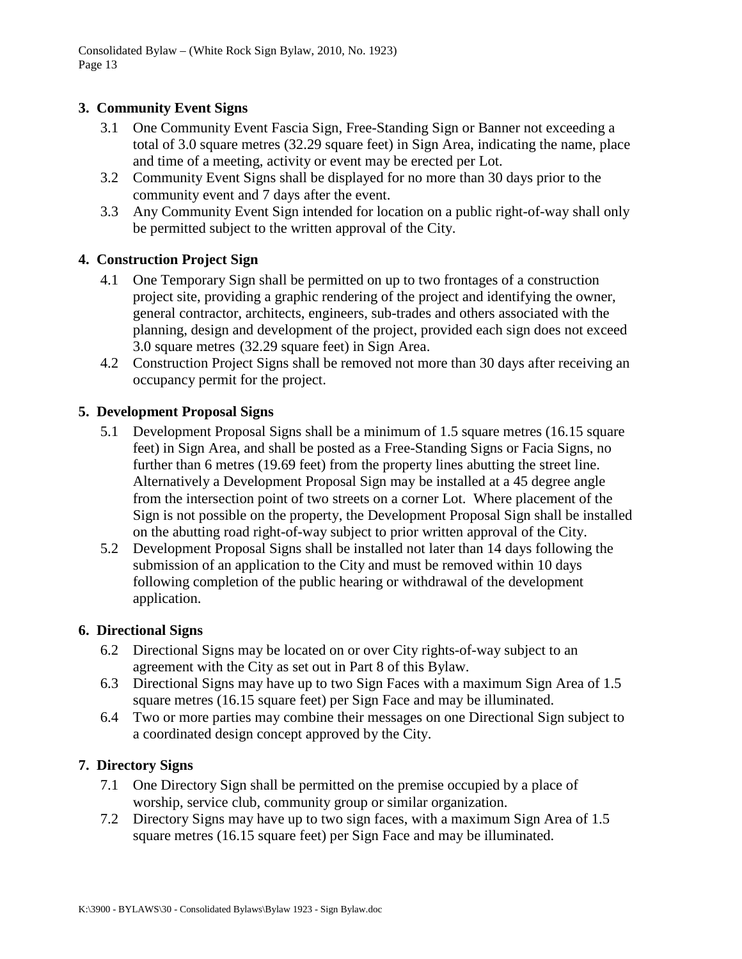## <span id="page-12-0"></span>**3. Community Event Signs**

- 3.1 One Community Event Fascia Sign, Free-Standing Sign or Banner not exceeding a total of 3.0 square metres (32.29 square feet) in Sign Area, indicating the name, place and time of a meeting, activity or event may be erected per Lot.
- 3.2 Community Event Signs shall be displayed for no more than 30 days prior to the community event and 7 days after the event.
- 3.3 Any Community Event Sign intended for location on a public right-of-way shall only be permitted subject to the written approval of the City.

## <span id="page-12-1"></span>**4. Construction Project Sign**

- 4.1 One Temporary Sign shall be permitted on up to two frontages of a construction project site, providing a graphic rendering of the project and identifying the owner, general contractor, architects, engineers, sub-trades and others associated with the planning, design and development of the project, provided each sign does not exceed 3.0 square metres (32.29 square feet) in Sign Area.
- 4.2 Construction Project Signs shall be removed not more than 30 days after receiving an occupancy permit for the project.

## <span id="page-12-2"></span>**5. Development Proposal Signs**

- 5.1 Development Proposal Signs shall be a minimum of 1.5 square metres (16.15 square feet) in Sign Area, and shall be posted as a Free-Standing Signs or Facia Signs, no further than 6 metres (19.69 feet) from the property lines abutting the street line. Alternatively a Development Proposal Sign may be installed at a 45 degree angle from the intersection point of two streets on a corner Lot. Where placement of the Sign is not possible on the property, the Development Proposal Sign shall be installed on the abutting road right-of-way subject to prior written approval of the City.
- 5.2 Development Proposal Signs shall be installed not later than 14 days following the submission of an application to the City and must be removed within 10 days following completion of the public hearing or withdrawal of the development application.

## <span id="page-12-3"></span>**6. Directional Signs**

- 6.2 Directional Signs may be located on or over City rights-of-way subject to an agreement with the City as set out in Part 8 of this Bylaw.
- 6.3 Directional Signs may have up to two Sign Faces with a maximum Sign Area of 1.5 square metres (16.15 square feet) per Sign Face and may be illuminated.
- 6.4 Two or more parties may combine their messages on one Directional Sign subject to a coordinated design concept approved by the City.

## <span id="page-12-4"></span>**7. Directory Signs**

- 7.1 One Directory Sign shall be permitted on the premise occupied by a place of worship, service club, community group or similar organization.
- 7.2 Directory Signs may have up to two sign faces, with a maximum Sign Area of 1.5 square metres (16.15 square feet) per Sign Face and may be illuminated.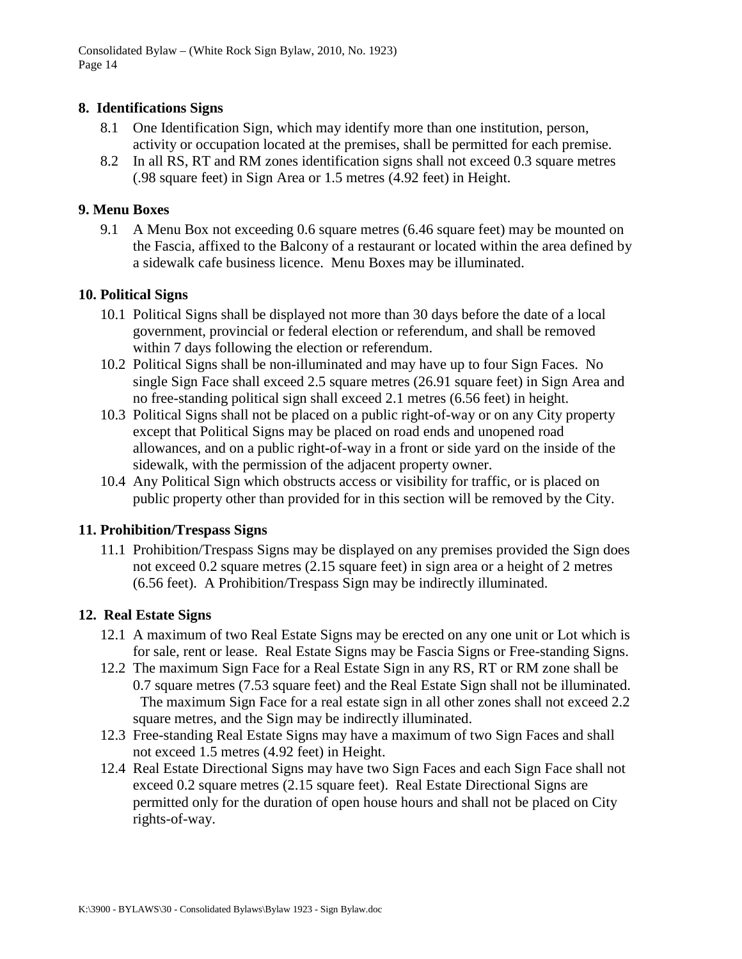### <span id="page-13-0"></span>**8. Identifications Signs**

- 8.1 One Identification Sign, which may identify more than one institution, person, activity or occupation located at the premises, shall be permitted for each premise.
- 8.2 In all RS, RT and RM zones identification signs shall not exceed 0.3 square metres (.98 square feet) in Sign Area or 1.5 metres (4.92 feet) in Height.

### <span id="page-13-1"></span>**9. Menu Boxes**

9.1 A Menu Box not exceeding 0.6 square metres (6.46 square feet) may be mounted on the Fascia, affixed to the Balcony of a restaurant or located within the area defined by a sidewalk cafe business licence. Menu Boxes may be illuminated.

### <span id="page-13-2"></span>**10. Political Signs**

- 10.1 Political Signs shall be displayed not more than 30 days before the date of a local government, provincial or federal election or referendum, and shall be removed within 7 days following the election or referendum.
- 10.2 Political Signs shall be non-illuminated and may have up to four Sign Faces. No single Sign Face shall exceed 2.5 square metres (26.91 square feet) in Sign Area and no free-standing political sign shall exceed 2.1 metres (6.56 feet) in height.
- 10.3 Political Signs shall not be placed on a public right-of-way or on any City property except that Political Signs may be placed on road ends and unopened road allowances, and on a public right**-**of-way in a front or side yard on the inside of the sidewalk, with the permission of the adjacent property owner.
- 10.4 Any Political Sign which obstructs access or visibility for traffic, or is placed on public property other than provided for in this section will be removed by the City.

### <span id="page-13-3"></span>**11. Prohibition/Trespass Signs**

11.1 Prohibition/Trespass Signs may be displayed on any premises provided the Sign does not exceed 0.2 square metres (2.15 square feet) in sign area or a height of 2 metres (6.56 feet). A Prohibition/Trespass Sign may be indirectly illuminated.

## <span id="page-13-4"></span>**12. Real Estate Signs**

- 12.1 A maximum of two Real Estate Signs may be erected on any one unit or Lot which is for sale, rent or lease. Real Estate Signs may be Fascia Signs or Free-standing Signs.
- 12.2 The maximum Sign Face for a Real Estate Sign in any RS, RT or RM zone shall be 0.7 square metres (7.53 square feet) and the Real Estate Sign shall not be illuminated. The maximum Sign Face for a real estate sign in all other zones shall not exceed 2.2 square metres, and the Sign may be indirectly illuminated.
- 12.3 Free-standing Real Estate Signs may have a maximum of two Sign Faces and shall not exceed 1.5 metres (4.92 feet) in Height.
- 12.4 Real Estate Directional Signs may have two Sign Faces and each Sign Face shall not exceed 0.2 square metres (2.15 square feet). Real Estate Directional Signs are permitted only for the duration of open house hours and shall not be placed on City rights-of-way.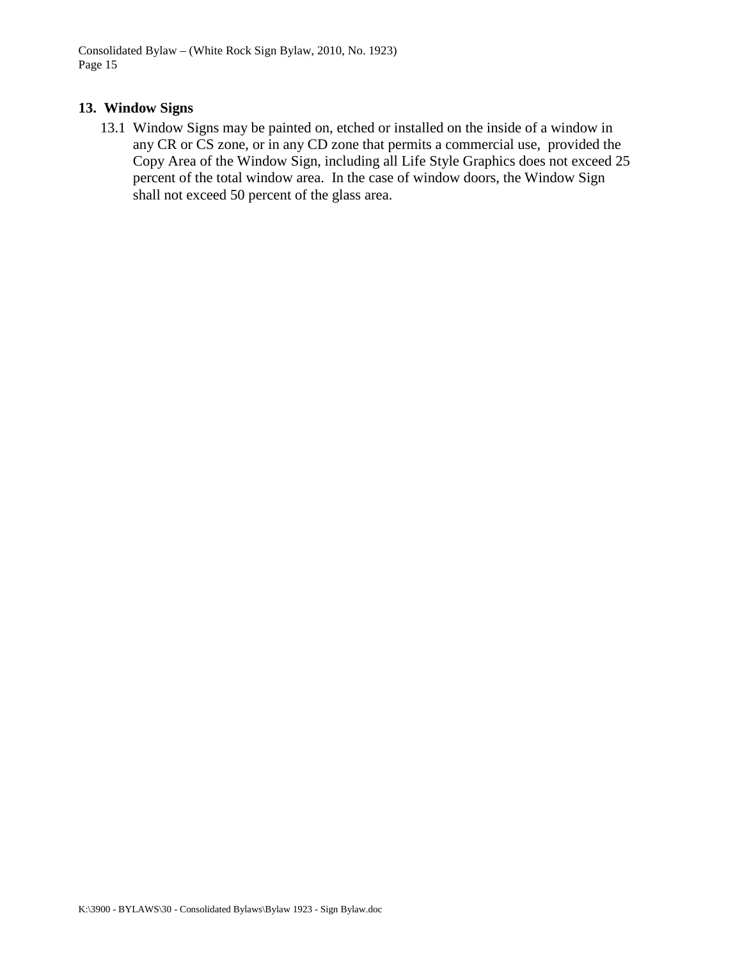### <span id="page-14-0"></span>**13. Window Signs**

13.1 Window Signs may be painted on, etched or installed on the inside of a window in any CR or CS zone, or in any CD zone that permits a commercial use, provided the Copy Area of the Window Sign, including all Life Style Graphics does not exceed 25 percent of the total window area. In the case of window doors, the Window Sign shall not exceed 50 percent of the glass area.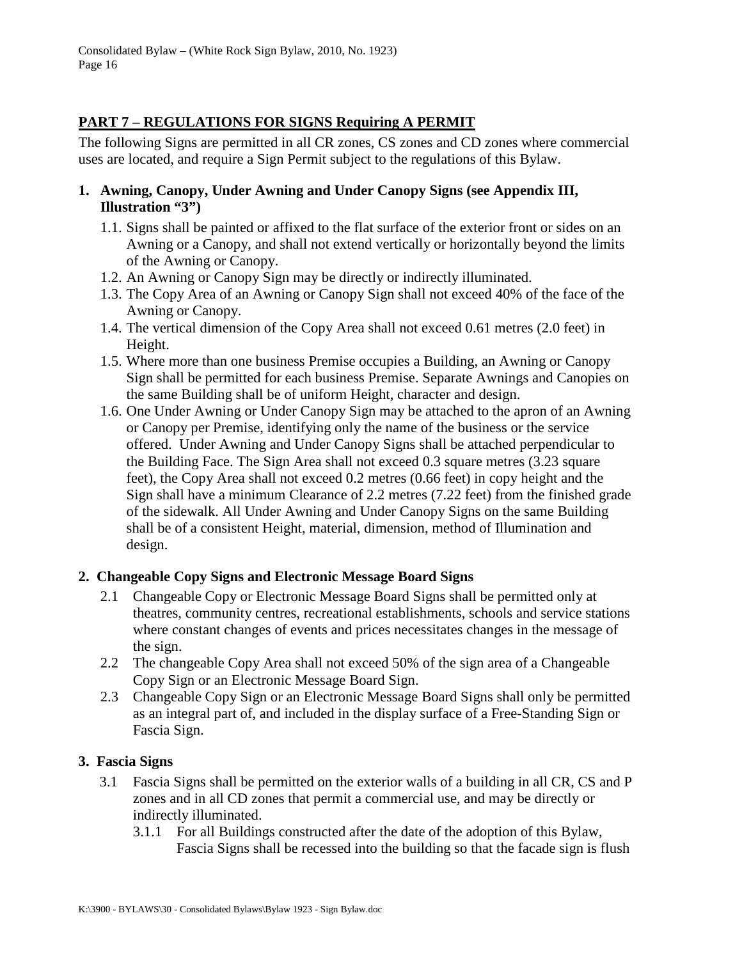## <span id="page-15-0"></span>**PART 7 – REGULATIONS FOR SIGNS Requiring A PERMIT**

The following Signs are permitted in all CR zones, CS zones and CD zones where commercial uses are located, and require a Sign Permit subject to the regulations of this Bylaw.

- <span id="page-15-1"></span>**1. Awning, Canopy, Under Awning and Under Canopy Signs (see Appendix III, Illustration "3")**
	- 1.1. Signs shall be painted or affixed to the flat surface of the exterior front or sides on an Awning or a Canopy, and shall not extend vertically or horizontally beyond the limits of the Awning or Canopy.
	- 1.2. An Awning or Canopy Sign may be directly or indirectly illuminated.
	- 1.3. The Copy Area of an Awning or Canopy Sign shall not exceed 40% of the face of the Awning or Canopy.
	- 1.4. The vertical dimension of the Copy Area shall not exceed 0.61 metres (2.0 feet) in Height.
	- 1.5. Where more than one business Premise occupies a Building, an Awning or Canopy Sign shall be permitted for each business Premise. Separate Awnings and Canopies on the same Building shall be of uniform Height, character and design.
	- 1.6. One Under Awning or Under Canopy Sign may be attached to the apron of an Awning or Canopy per Premise, identifying only the name of the business or the service offered. Under Awning and Under Canopy Signs shall be attached perpendicular to the Building Face. The Sign Area shall not exceed 0.3 square metres (3.23 square feet), the Copy Area shall not exceed 0.2 metres (0.66 feet) in copy height and the Sign shall have a minimum Clearance of 2.2 metres (7.22 feet) from the finished grade of the sidewalk. All Under Awning and Under Canopy Signs on the same Building shall be of a consistent Height, material, dimension, method of Illumination and design.

## <span id="page-15-2"></span>**2. Changeable Copy Signs and Electronic Message Board Signs**

- 2.1 Changeable Copy or Electronic Message Board Signs shall be permitted only at theatres, community centres, recreational establishments, schools and service stations where constant changes of events and prices necessitates changes in the message of the sign.
- 2.2 The changeable Copy Area shall not exceed 50% of the sign area of a Changeable Copy Sign or an Electronic Message Board Sign.
- 2.3 Changeable Copy Sign or an Electronic Message Board Signs shall only be permitted as an integral part of, and included in the display surface of a Free-Standing Sign or Fascia Sign.

## <span id="page-15-3"></span>**3. Fascia Signs**

- 3.1 Fascia Signs shall be permitted on the exterior walls of a building in all CR, CS and P zones and in all CD zones that permit a commercial use, and may be directly or indirectly illuminated.
	- 3.1.1 For all Buildings constructed after the date of the adoption of this Bylaw, Fascia Signs shall be recessed into the building so that the facade sign is flush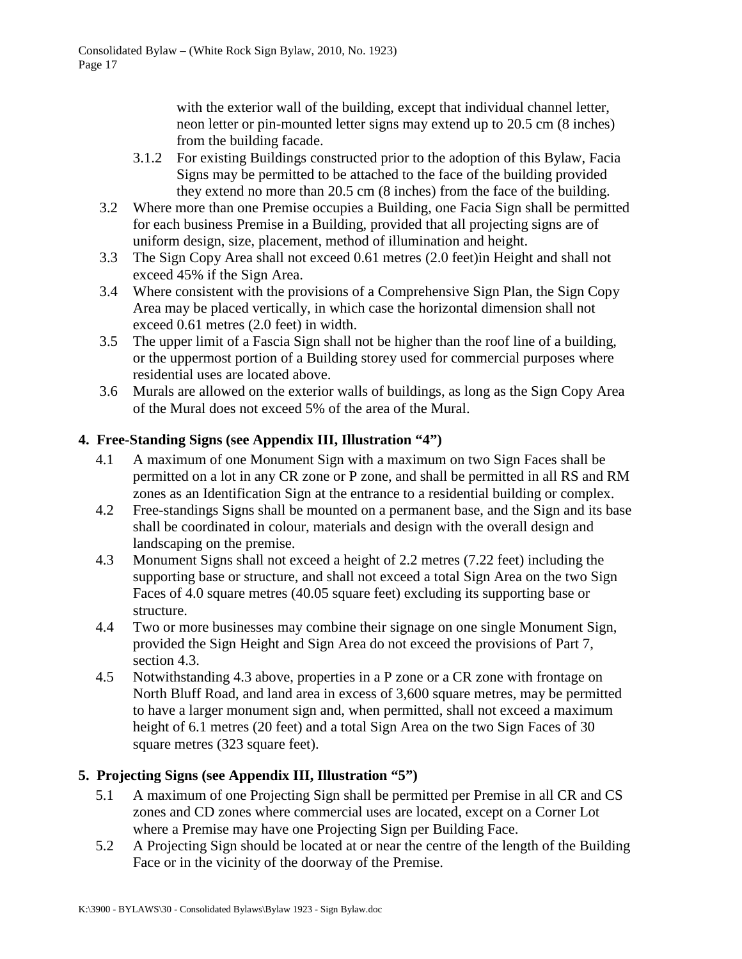with the exterior wall of the building, except that individual channel letter, neon letter or pin-mounted letter signs may extend up to 20.5 cm (8 inches) from the building facade.

- 3.1.2 For existing Buildings constructed prior to the adoption of this Bylaw, Facia Signs may be permitted to be attached to the face of the building provided they extend no more than 20.5 cm (8 inches) from the face of the building.
- 3.2 Where more than one Premise occupies a Building, one Facia Sign shall be permitted for each business Premise in a Building, provided that all projecting signs are of uniform design, size, placement, method of illumination and height.
- 3.3 The Sign Copy Area shall not exceed 0.61 metres (2.0 feet)in Height and shall not exceed 45% if the Sign Area.
- 3.4 Where consistent with the provisions of a Comprehensive Sign Plan, the Sign Copy Area may be placed vertically, in which case the horizontal dimension shall not exceed 0.61 metres (2.0 feet) in width.
- 3.5 The upper limit of a Fascia Sign shall not be higher than the roof line of a building, or the uppermost portion of a Building storey used for commercial purposes where residential uses are located above.
- 3.6 Murals are allowed on the exterior walls of buildings, as long as the Sign Copy Area of the Mural does not exceed 5% of the area of the Mural.

## <span id="page-16-0"></span>**4. Free-Standing Signs (see Appendix III, Illustration "4")**

- 4.1 A maximum of one Monument Sign with a maximum on two Sign Faces shall be permitted on a lot in any CR zone or P zone, and shall be permitted in all RS and RM zones as an Identification Sign at the entrance to a residential building or complex.
- 4.2 Free-standings Signs shall be mounted on a permanent base, and the Sign and its base shall be coordinated in colour, materials and design with the overall design and landscaping on the premise.
- 4.3 Monument Signs shall not exceed a height of 2.2 metres (7.22 feet) including the supporting base or structure, and shall not exceed a total Sign Area on the two Sign Faces of 4.0 square metres (40.05 square feet) excluding its supporting base or structure.
- 4.4 Two or more businesses may combine their signage on one single Monument Sign, provided the Sign Height and Sign Area do not exceed the provisions of Part 7, section 4.3.
- 4.5 Notwithstanding 4.3 above, properties in a P zone or a CR zone with frontage on North Bluff Road, and land area in excess of 3,600 square metres, may be permitted to have a larger monument sign and, when permitted, shall not exceed a maximum height of 6.1 metres (20 feet) and a total Sign Area on the two Sign Faces of 30 square metres (323 square feet).

## <span id="page-16-1"></span>**5. Projecting Signs (see Appendix III, Illustration "5")**

- 5.1 A maximum of one Projecting Sign shall be permitted per Premise in all CR and CS zones and CD zones where commercial uses are located, except on a Corner Lot where a Premise may have one Projecting Sign per Building Face.
- 5.2 A Projecting Sign should be located at or near the centre of the length of the Building Face or in the vicinity of the doorway of the Premise.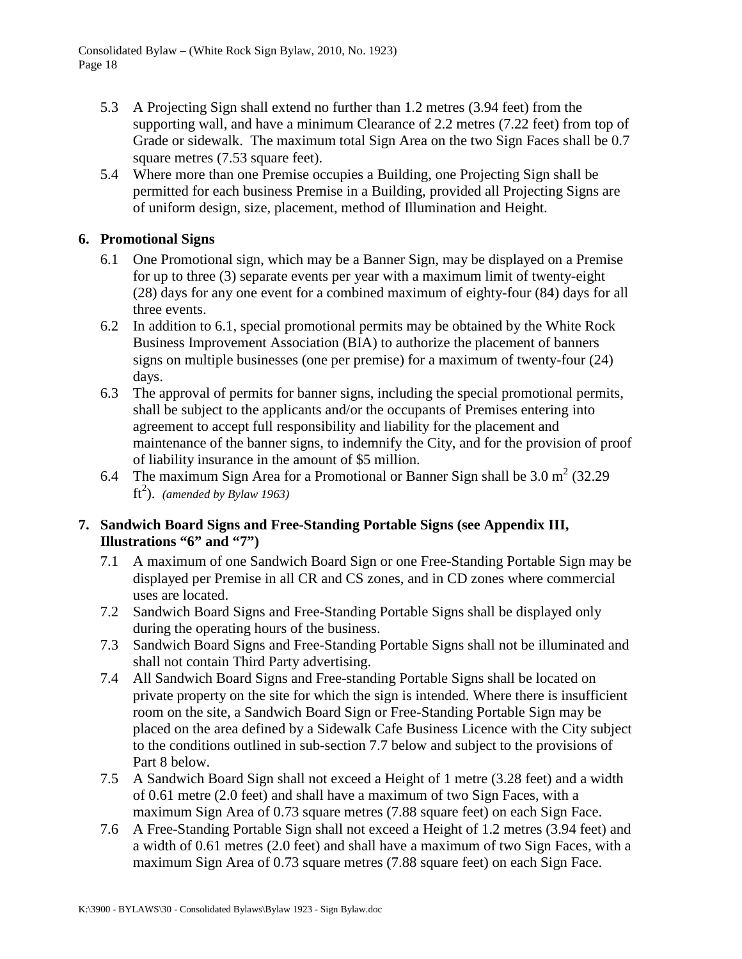- 5.3 A Projecting Sign shall extend no further than 1.2 metres (3.94 feet) from the supporting wall, and have a minimum Clearance of 2.2 metres (7.22 feet) from top of Grade or sidewalk. The maximum total Sign Area on the two Sign Faces shall be 0.7 square metres (7.53 square feet).
- 5.4 Where more than one Premise occupies a Building, one Projecting Sign shall be permitted for each business Premise in a Building, provided all Projecting Signs are of uniform design, size, placement, method of Illumination and Height.

## <span id="page-17-0"></span>**6. Promotional Signs**

- 6.1 One Promotional sign, which may be a Banner Sign, may be displayed on a Premise for up to three (3) separate events per year with a maximum limit of twenty-eight (28) days for any one event for a combined maximum of eighty-four (84) days for all three events.
- 6.2 In addition to 6.1, special promotional permits may be obtained by the White Rock Business Improvement Association (BIA) to authorize the placement of banners signs on multiple businesses (one per premise) for a maximum of twenty-four (24) days.
- 6.3 The approval of permits for banner signs, including the special promotional permits, shall be subject to the applicants and/or the occupants of Premises entering into agreement to accept full responsibility and liability for the placement and maintenance of the banner signs, to indemnify the City, and for the provision of proof of liability insurance in the amount of \$5 million.
- 6.4 The maximum Sign Area for a Promotional or Banner Sign shall be  $3.0 \text{ m}^2$  (32.29)  $ft<sup>2</sup>$ ). *(amended by Bylaw 1963)*

## <span id="page-17-1"></span>**7. Sandwich Board Signs and Free-Standing Portable Signs (see Appendix III, Illustrations "6" and "7")**

- 7.1 A maximum of one Sandwich Board Sign or one Free-Standing Portable Sign may be displayed per Premise in all CR and CS zones, and in CD zones where commercial uses are located.
- 7.2 Sandwich Board Signs and Free-Standing Portable Signs shall be displayed only during the operating hours of the business.
- 7.3 Sandwich Board Signs and Free-Standing Portable Signs shall not be illuminated and shall not contain Third Party advertising.
- 7.4 All Sandwich Board Signs and Free-standing Portable Signs shall be located on private property on the site for which the sign is intended. Where there is insufficient room on the site, a Sandwich Board Sign or Free-Standing Portable Sign may be placed on the area defined by a Sidewalk Cafe Business Licence with the City subject to the conditions outlined in sub-section 7.7 below and subject to the provisions of Part 8 below.
- 7.5 A Sandwich Board Sign shall not exceed a Height of 1 metre (3.28 feet) and a width of 0.61 metre (2.0 feet) and shall have a maximum of two Sign Faces, with a maximum Sign Area of 0.73 square metres (7.88 square feet) on each Sign Face.
- 7.6 A Free-Standing Portable Sign shall not exceed a Height of 1.2 metres (3.94 feet) and a width of 0.61 metres (2.0 feet) and shall have a maximum of two Sign Faces, with a maximum Sign Area of 0.73 square metres (7.88 square feet) on each Sign Face.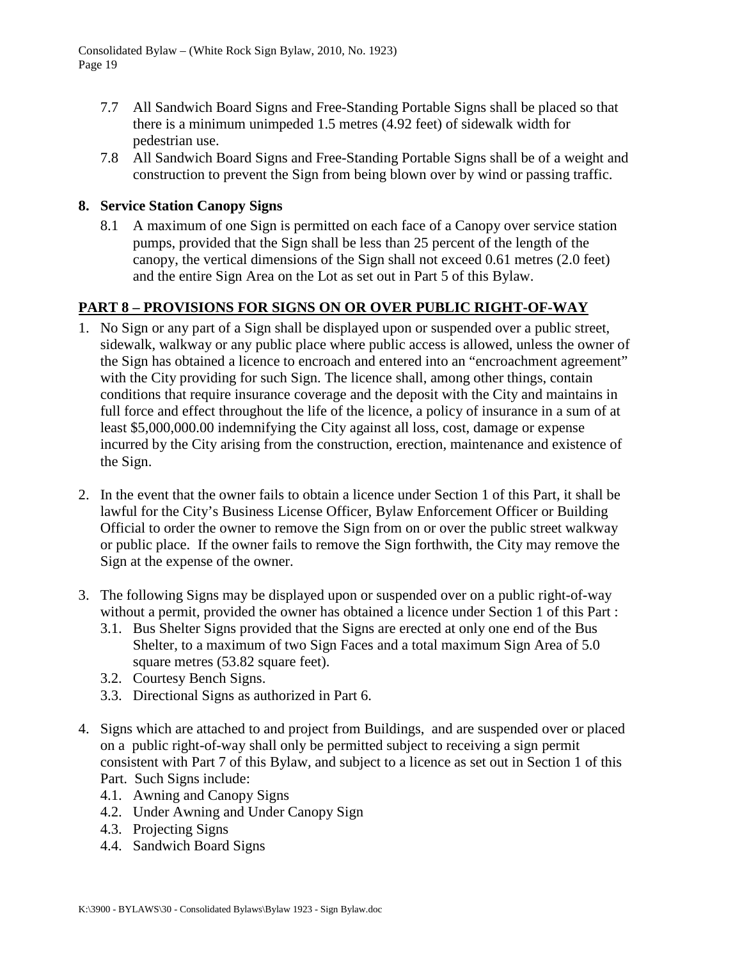- 7.7 All Sandwich Board Signs and Free-Standing Portable Signs shall be placed so that there is a minimum unimpeded 1.5 metres (4.92 feet) of sidewalk width for pedestrian use.
- 7.8 All Sandwich Board Signs and Free-Standing Portable Signs shall be of a weight and construction to prevent the Sign from being blown over by wind or passing traffic.

## <span id="page-18-0"></span>**8. Service Station Canopy Signs**

8.1 A maximum of one Sign is permitted on each face of a Canopy over service station pumps, provided that the Sign shall be less than 25 percent of the length of the canopy, the vertical dimensions of the Sign shall not exceed 0.61 metres (2.0 feet) and the entire Sign Area on the Lot as set out in Part 5 of this Bylaw.

## <span id="page-18-1"></span>**PART 8 – PROVISIONS FOR SIGNS ON OR OVER PUBLIC RIGHT-OF-WAY**

- 1. No Sign or any part of a Sign shall be displayed upon or suspended over a public street, sidewalk, walkway or any public place where public access is allowed, unless the owner of the Sign has obtained a licence to encroach and entered into an "encroachment agreement" with the City providing for such Sign. The licence shall, among other things, contain conditions that require insurance coverage and the deposit with the City and maintains in full force and effect throughout the life of the licence, a policy of insurance in a sum of at least \$5,000,000.00 indemnifying the City against all loss, cost, damage or expense incurred by the City arising from the construction, erection, maintenance and existence of the Sign.
- 2. In the event that the owner fails to obtain a licence under Section 1 of this Part, it shall be lawful for the City's Business License Officer, Bylaw Enforcement Officer or Building Official to order the owner to remove the Sign from on or over the public street walkway or public place. If the owner fails to remove the Sign forthwith, the City may remove the Sign at the expense of the owner.
- 3. The following Signs may be displayed upon or suspended over on a public right-of-way without a permit, provided the owner has obtained a licence under Section 1 of this Part :
	- 3.1. Bus Shelter Signs provided that the Signs are erected at only one end of the Bus Shelter, to a maximum of two Sign Faces and a total maximum Sign Area of 5.0 square metres (53.82 square feet).
	- 3.2. Courtesy Bench Signs.
	- 3.3. Directional Signs as authorized in Part 6.
- 4. Signs which are attached to and project from Buildings, and are suspended over or placed on a public right-of-way shall only be permitted subject to receiving a sign permit consistent with Part 7 of this Bylaw, and subject to a licence as set out in Section 1 of this Part. Such Signs include:
	-
	- 4.1. Awning and Canopy Signs
	- 4.2. Under Awning and Under Canopy Sign
	- 4.3. Projecting Signs
	- 4.4. Sandwich Board Signs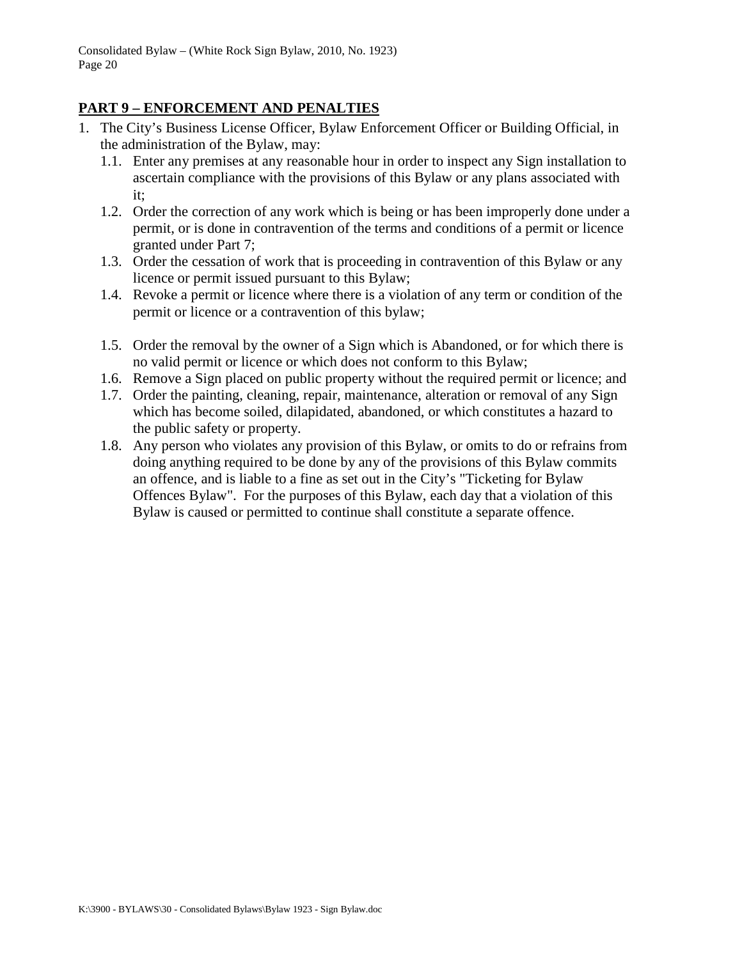## <span id="page-19-0"></span>**PART 9 – ENFORCEMENT AND PENALTIES**

- 1. The City's Business License Officer, Bylaw Enforcement Officer or Building Official, in the administration of the Bylaw, may:
	- 1.1. Enter any premises at any reasonable hour in order to inspect any Sign installation to ascertain compliance with the provisions of this Bylaw or any plans associated with it;
	- 1.2. Order the correction of any work which is being or has been improperly done under a permit, or is done in contravention of the terms and conditions of a permit or licence granted under Part 7;
	- 1.3. Order the cessation of work that is proceeding in contravention of this Bylaw or any licence or permit issued pursuant to this Bylaw;
	- 1.4. Revoke a permit or licence where there is a violation of any term or condition of the permit or licence or a contravention of this bylaw;
	- 1.5. Order the removal by the owner of a Sign which is Abandoned, or for which there is no valid permit or licence or which does not conform to this Bylaw;
	- 1.6. Remove a Sign placed on public property without the required permit or licence; and
	- 1.7. Order the painting, cleaning, repair, maintenance, alteration or removal of any Sign which has become soiled, dilapidated, abandoned, or which constitutes a hazard to the public safety or property.
	- 1.8. Any person who violates any provision of this Bylaw, or omits to do or refrains from doing anything required to be done by any of the provisions of this Bylaw commits an offence, and is liable to a fine as set out in the City's "Ticketing for Bylaw Offences Bylaw". For the purposes of this Bylaw, each day that a violation of this Bylaw is caused or permitted to continue shall constitute a separate offence.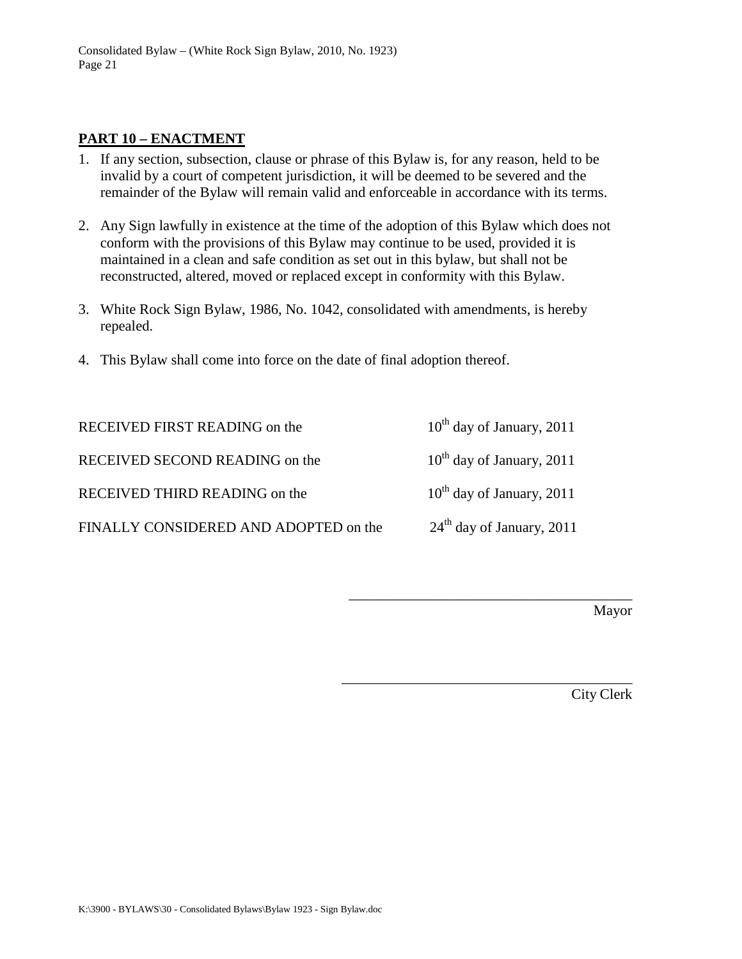### <span id="page-20-0"></span>**PART 10 – ENACTMENT**

- 1. If any section, subsection, clause or phrase of this Bylaw is, for any reason, held to be invalid by a court of competent jurisdiction, it will be deemed to be severed and the remainder of the Bylaw will remain valid and enforceable in accordance with its terms.
- 2. Any Sign lawfully in existence at the time of the adoption of this Bylaw which does not conform with the provisions of this Bylaw may continue to be used, provided it is maintained in a clean and safe condition as set out in this bylaw, but shall not be reconstructed, altered, moved or replaced except in conformity with this Bylaw.
- 3. White Rock Sign Bylaw, 1986, No. 1042, consolidated with amendments, is hereby repealed.
- 4. This Bylaw shall come into force on the date of final adoption thereof.

RECEIVED FIRST READING on the  $10^{th}$  day of January, 2011 RECEIVED SECOND READING on the  $10^{th}$  day of January, 2011

RECEIVED THIRD READING on the  $10^{th}$  day of January, 2011

FINALLY CONSIDERED AND ADOPTED on the  $24<sup>th</sup>$  day of January, 2011

\_\_\_\_\_\_\_\_\_\_\_\_\_\_\_\_\_\_\_\_\_\_\_\_\_\_\_\_\_\_\_\_\_\_\_\_\_\_\_

\_\_\_\_\_\_\_\_\_\_\_\_\_\_\_\_\_\_\_\_\_\_\_\_\_\_\_\_\_\_\_\_\_\_\_\_\_\_\_\_

Mayor

City Clerk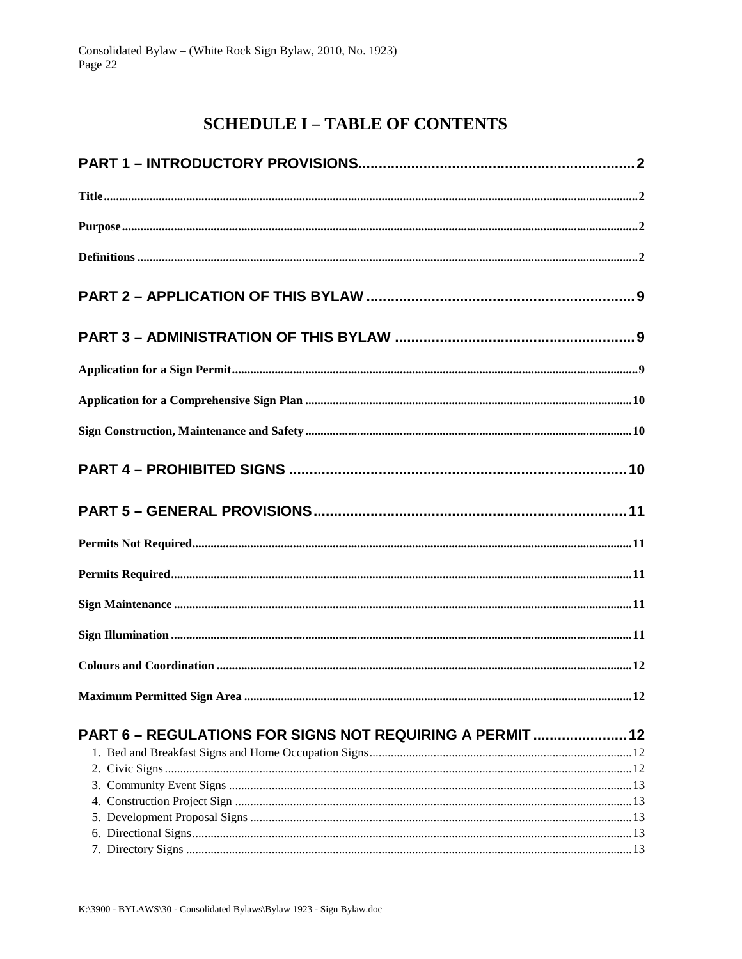# **SCHEDULE I - TABLE OF CONTENTS**

<span id="page-21-0"></span>

| PART 6 - REGULATIONS FOR SIGNS NOT REQUIRING A PERMIT  12 |  |
|-----------------------------------------------------------|--|
|                                                           |  |
|                                                           |  |
|                                                           |  |
|                                                           |  |
|                                                           |  |
|                                                           |  |
|                                                           |  |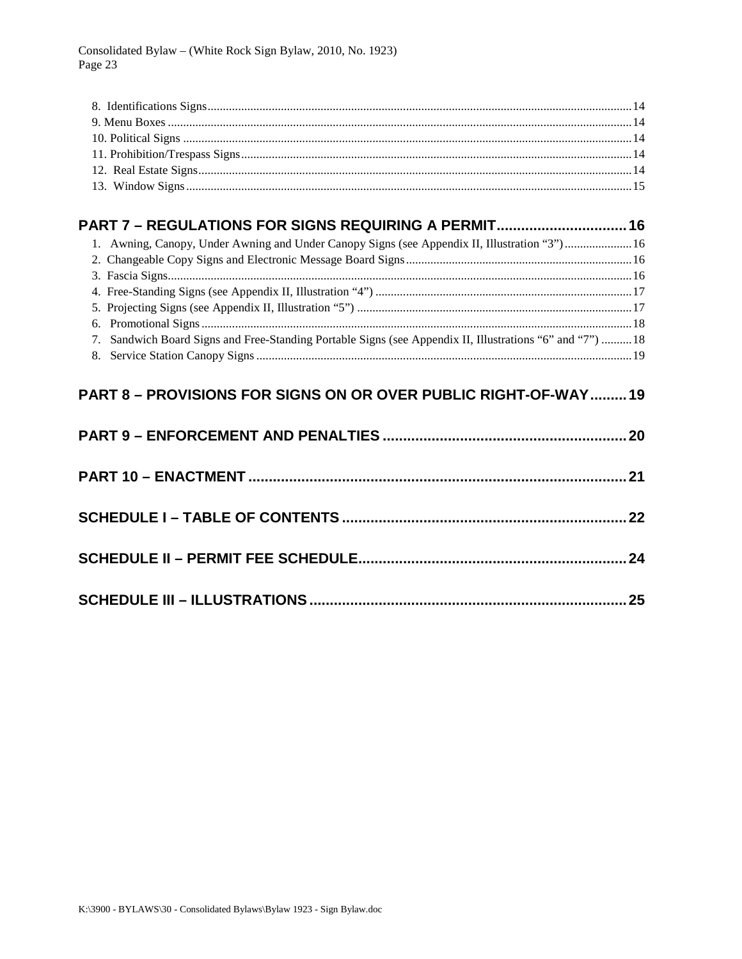# PART 7 - REGULATIONS FOR SIGNS REQUIRING A PERMIT................................ 16

| 1. Awning, Canopy, Under Awning and Under Canopy Signs (see Appendix II, Illustration "3")16             |  |
|----------------------------------------------------------------------------------------------------------|--|
|                                                                                                          |  |
|                                                                                                          |  |
|                                                                                                          |  |
|                                                                                                          |  |
|                                                                                                          |  |
| 7. Sandwich Board Signs and Free-Standing Portable Signs (see Appendix II, Illustrations "6" and "7") 18 |  |
|                                                                                                          |  |
|                                                                                                          |  |

## PART 8 - PROVISIONS FOR SIGNS ON OR OVER PUBLIC RIGHT-OF-WAY......... 19

| 25 |
|----|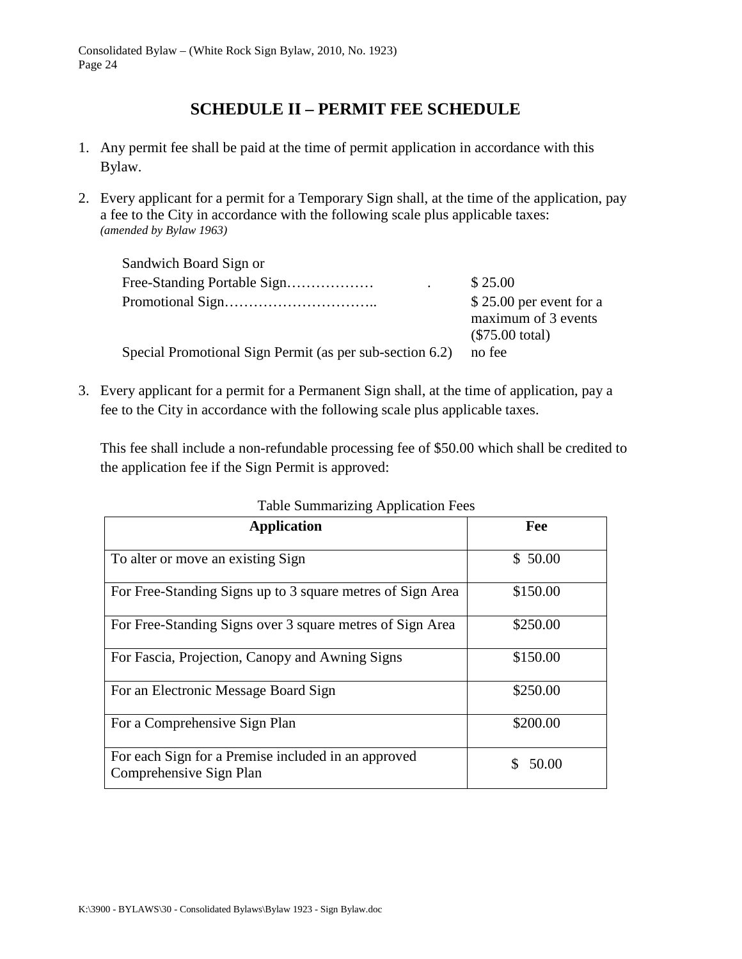# **SCHEDULE II – PERMIT FEE SCHEDULE**

- <span id="page-23-0"></span>1. Any permit fee shall be paid at the time of permit application in accordance with this Bylaw.
- 2. Every applicant for a permit for a Temporary Sign shall, at the time of the application, pay a fee to the City in accordance with the following scale plus applicable taxes: *(amended by Bylaw 1963)*

| Sandwich Board Sign or                                   |                                                                      |
|----------------------------------------------------------|----------------------------------------------------------------------|
| Free-Standing Portable Sign                              | \$25.00                                                              |
|                                                          | $$25.00$ per event for a<br>maximum of 3 events<br>$(\$75.00$ total) |
| Special Promotional Sign Permit (as per sub-section 6.2) | no fee                                                               |

3. Every applicant for a permit for a Permanent Sign shall, at the time of application, pay a fee to the City in accordance with the following scale plus applicable taxes.

This fee shall include a non-refundable processing fee of \$50.00 which shall be credited to the application fee if the Sign Permit is approved:

| <b>Application</b>                                                             | Fee      |
|--------------------------------------------------------------------------------|----------|
| To alter or move an existing Sign                                              | \$50.00  |
| For Free-Standing Signs up to 3 square metres of Sign Area                     | \$150.00 |
| For Free-Standing Signs over 3 square metres of Sign Area                      | \$250.00 |
| For Fascia, Projection, Canopy and Awning Signs                                | \$150.00 |
| For an Electronic Message Board Sign                                           | \$250.00 |
| For a Comprehensive Sign Plan                                                  | \$200.00 |
| For each Sign for a Premise included in an approved<br>Comprehensive Sign Plan | 50.00    |

Table Summarizing Application Fees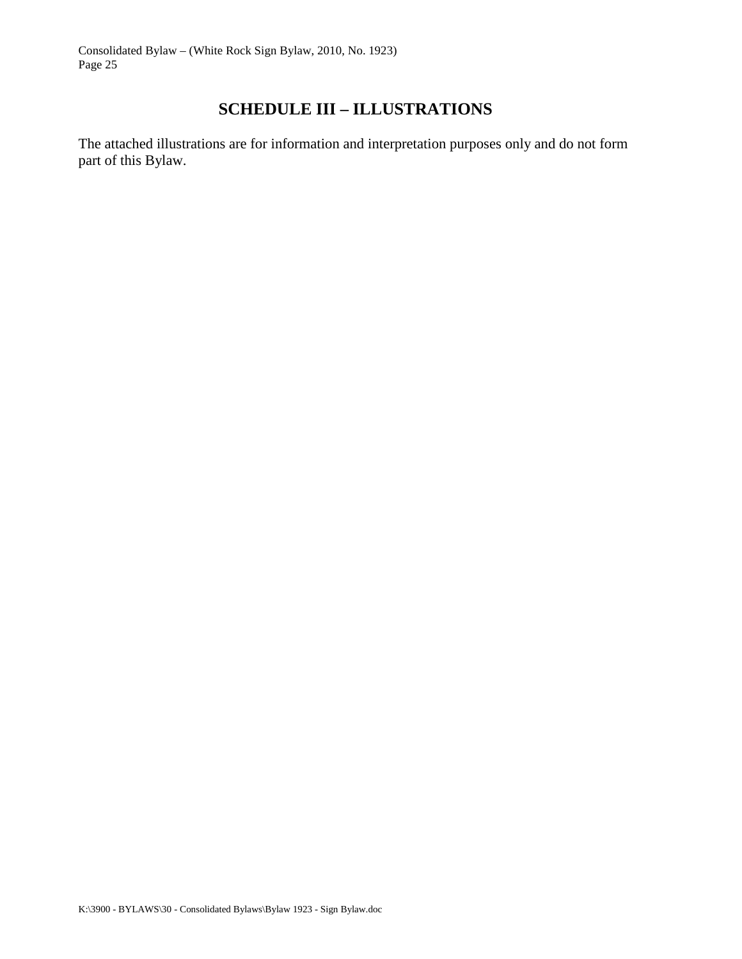# **SCHEDULE III – ILLUSTRATIONS**

<span id="page-24-0"></span>The attached illustrations are for information and interpretation purposes only and do not form part of this Bylaw.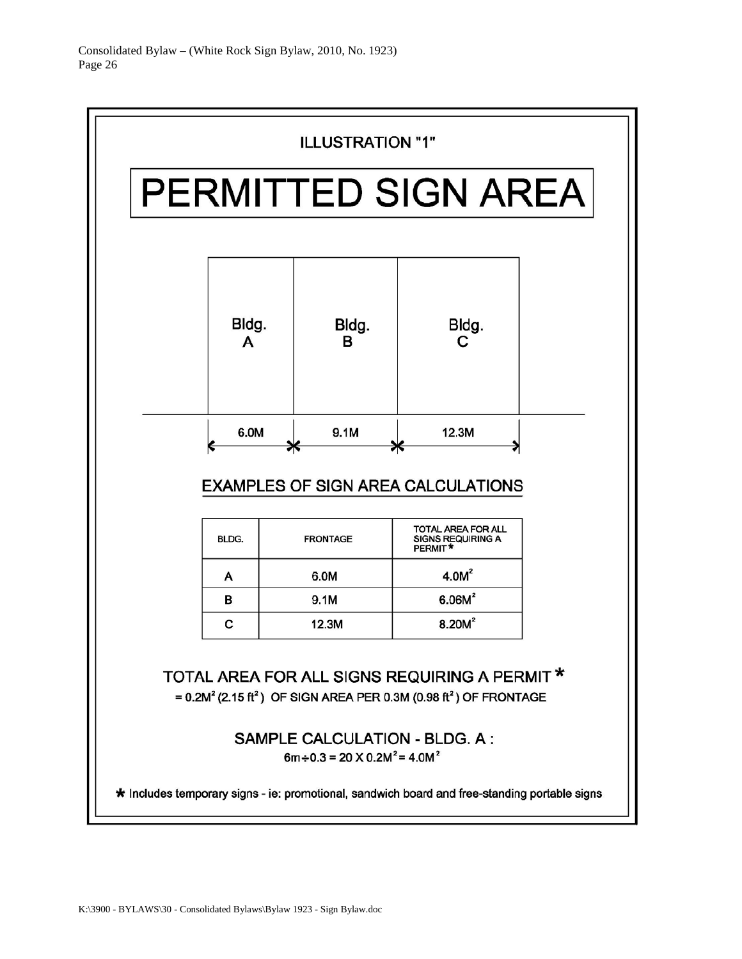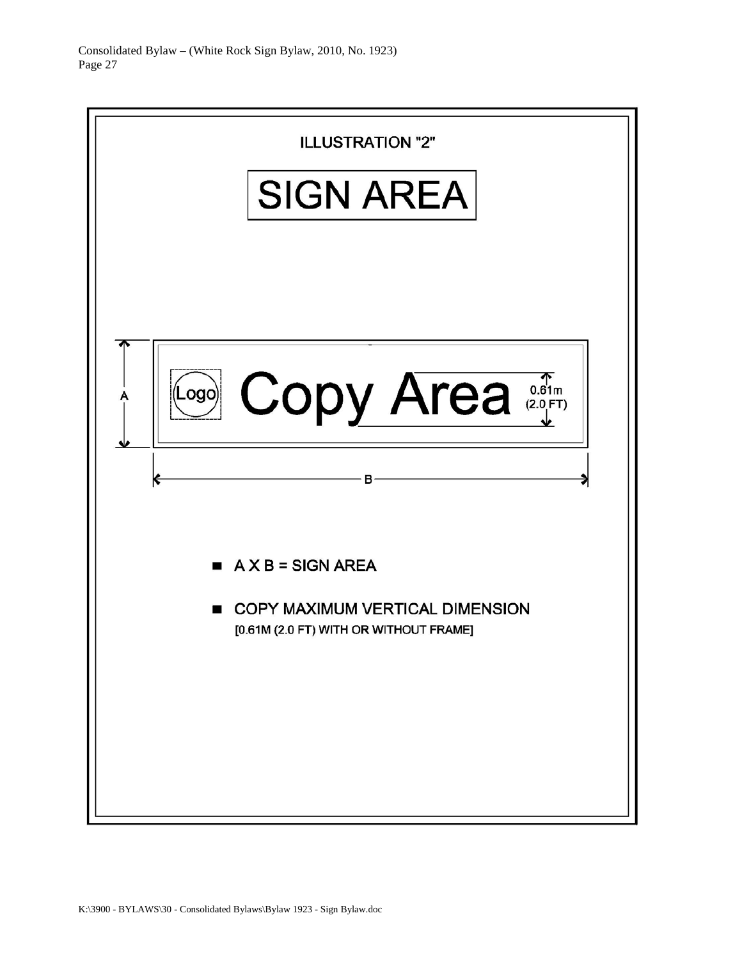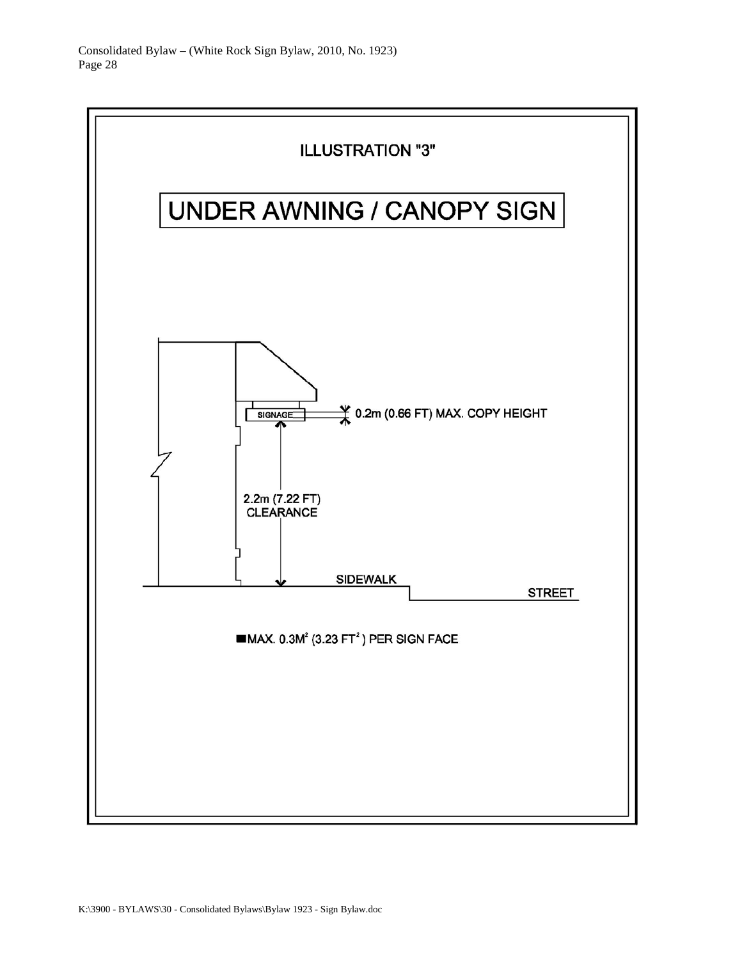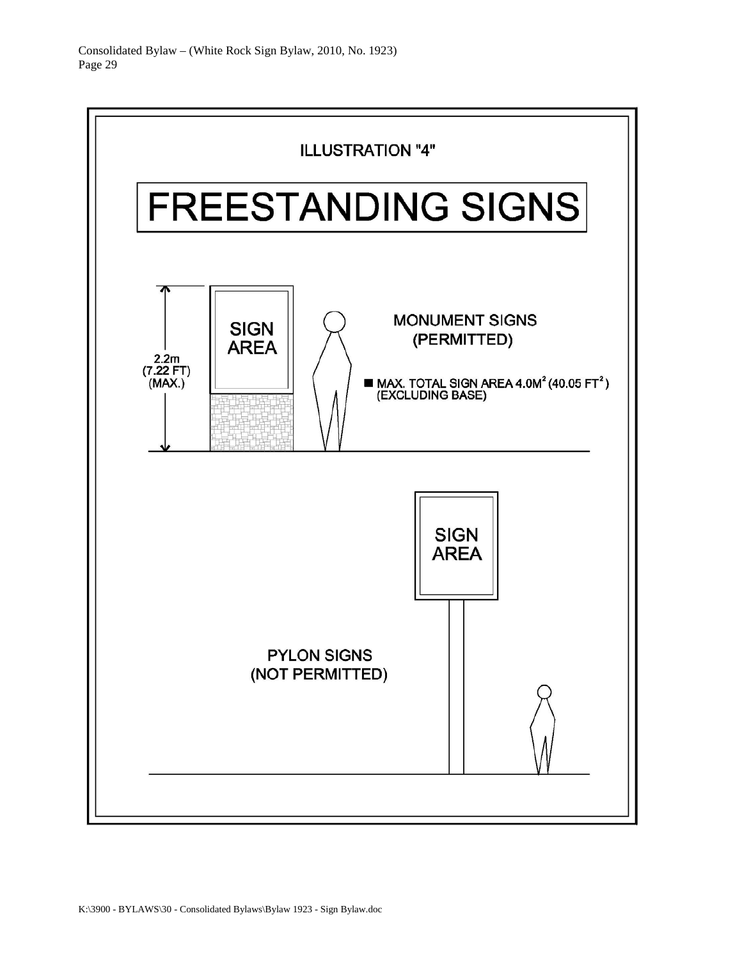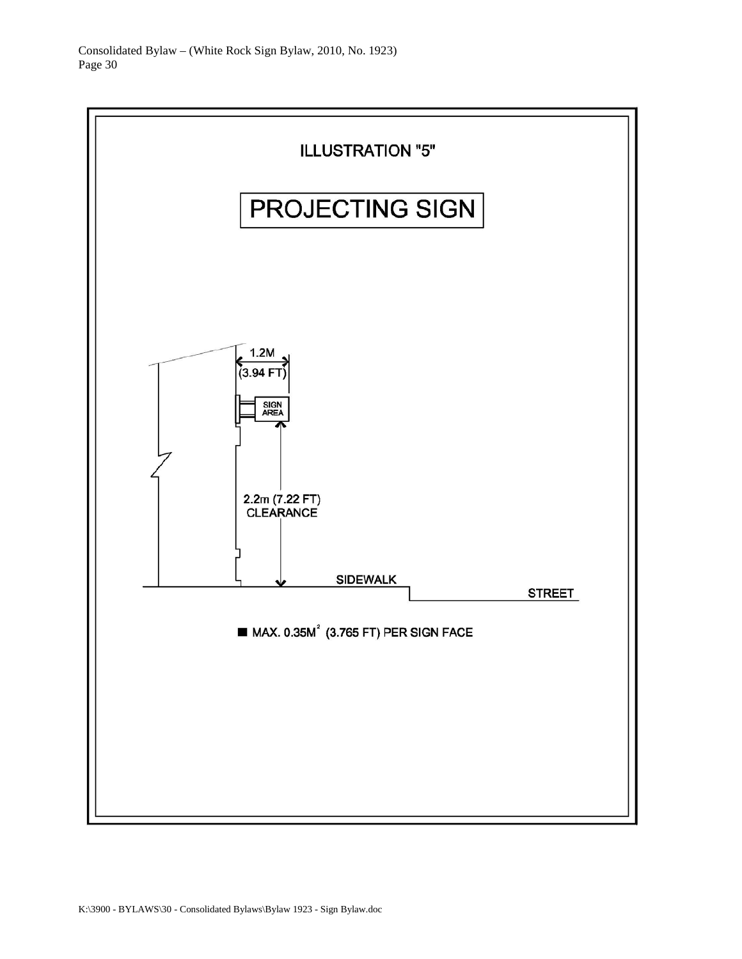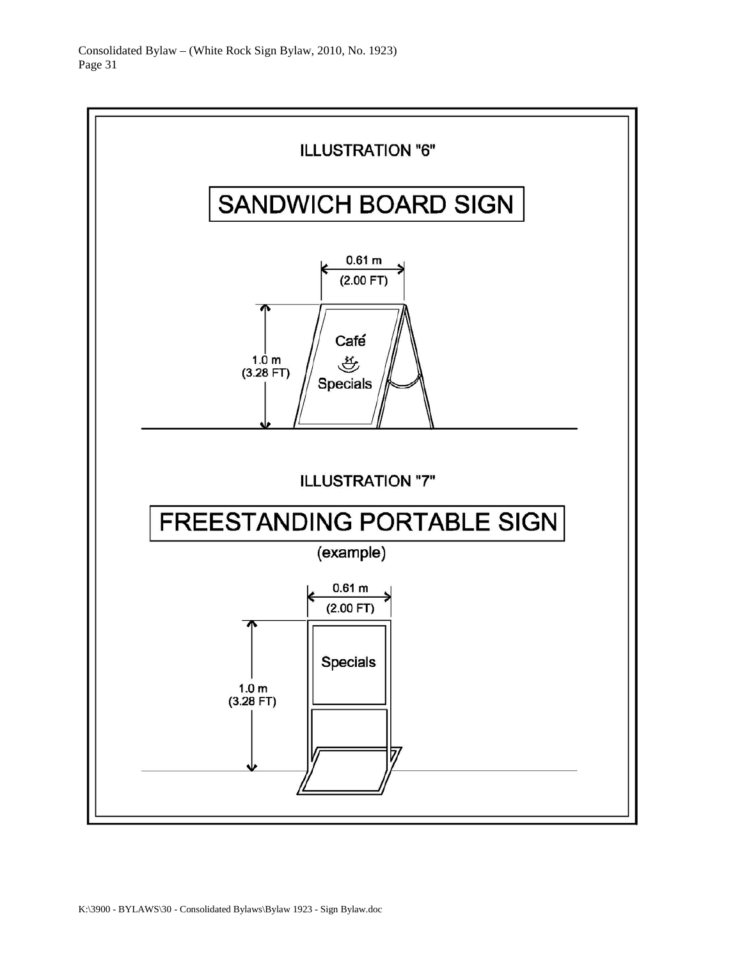